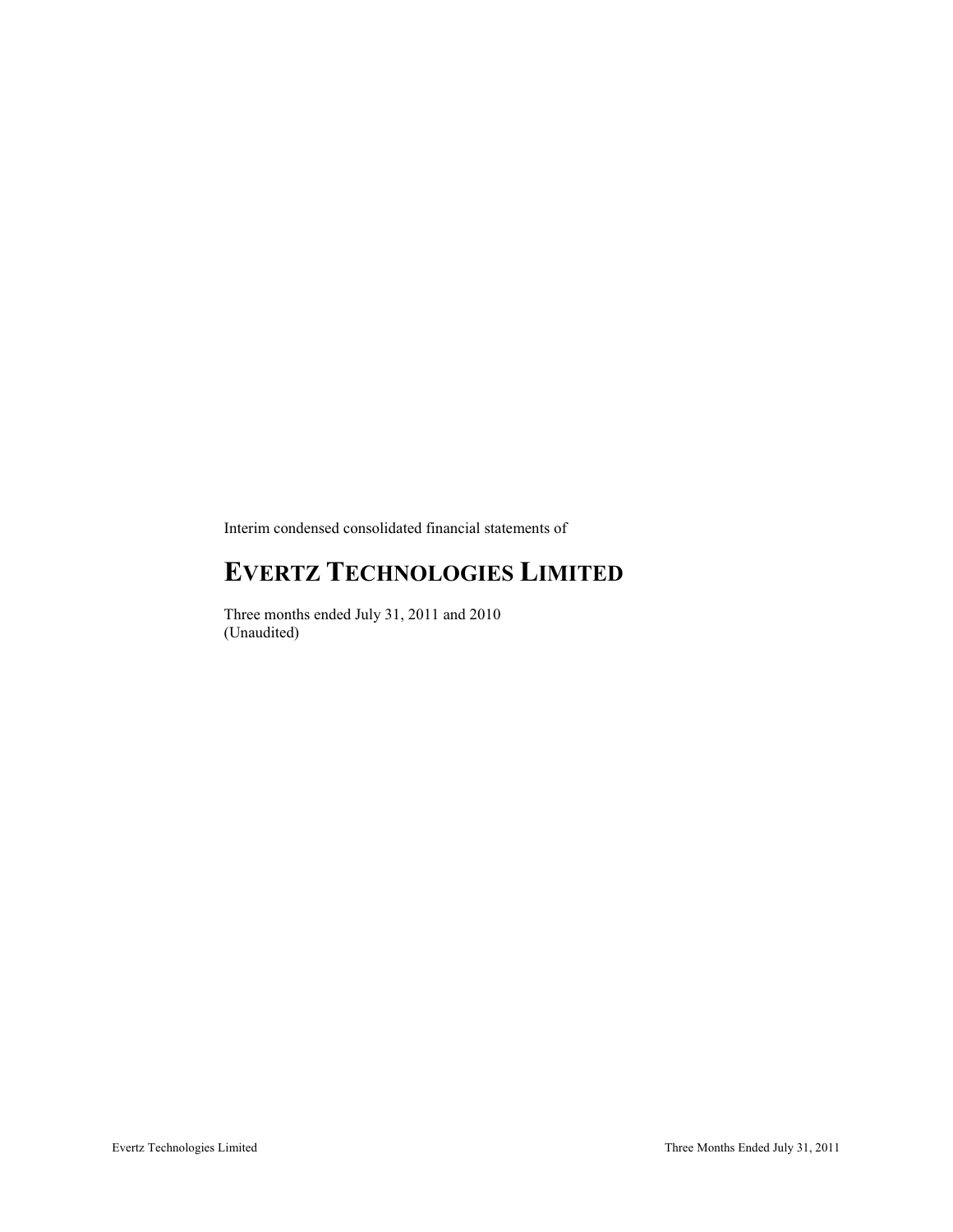Interim condensed consolidated financial statements of

# **EVERTZ TECHNOLOGIES LIMITED**

Three months ended July 31, 2011 and 2010 (Unaudited)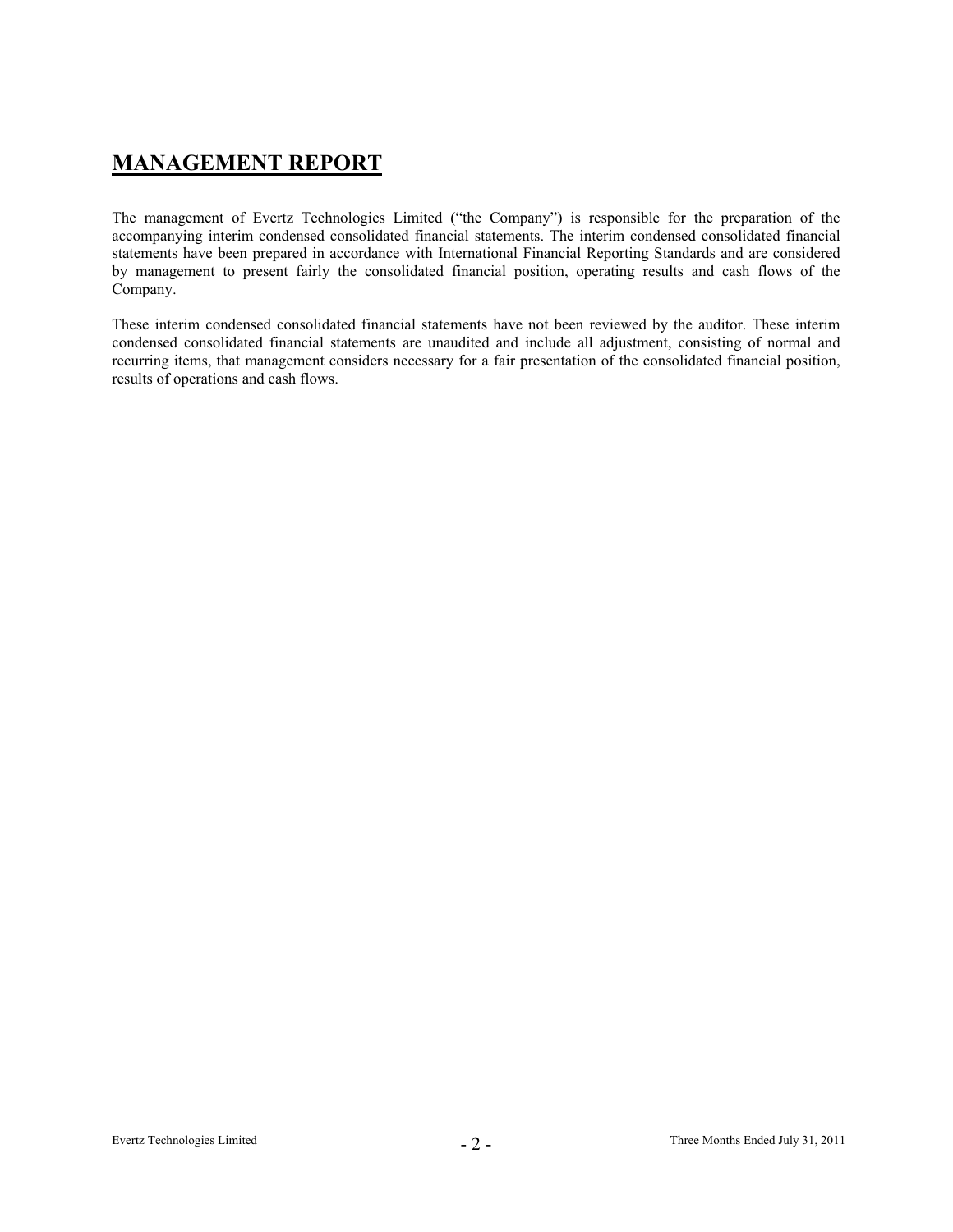# **MANAGEMENT REPORT**

The management of Evertz Technologies Limited ("the Company") is responsible for the preparation of the accompanying interim condensed consolidated financial statements. The interim condensed consolidated financial statements have been prepared in accordance with International Financial Reporting Standards and are considered by management to present fairly the consolidated financial position, operating results and cash flows of the Company.

These interim condensed consolidated financial statements have not been reviewed by the auditor. These interim condensed consolidated financial statements are unaudited and include all adjustment, consisting of normal and recurring items, that management considers necessary for a fair presentation of the consolidated financial position, results of operations and cash flows.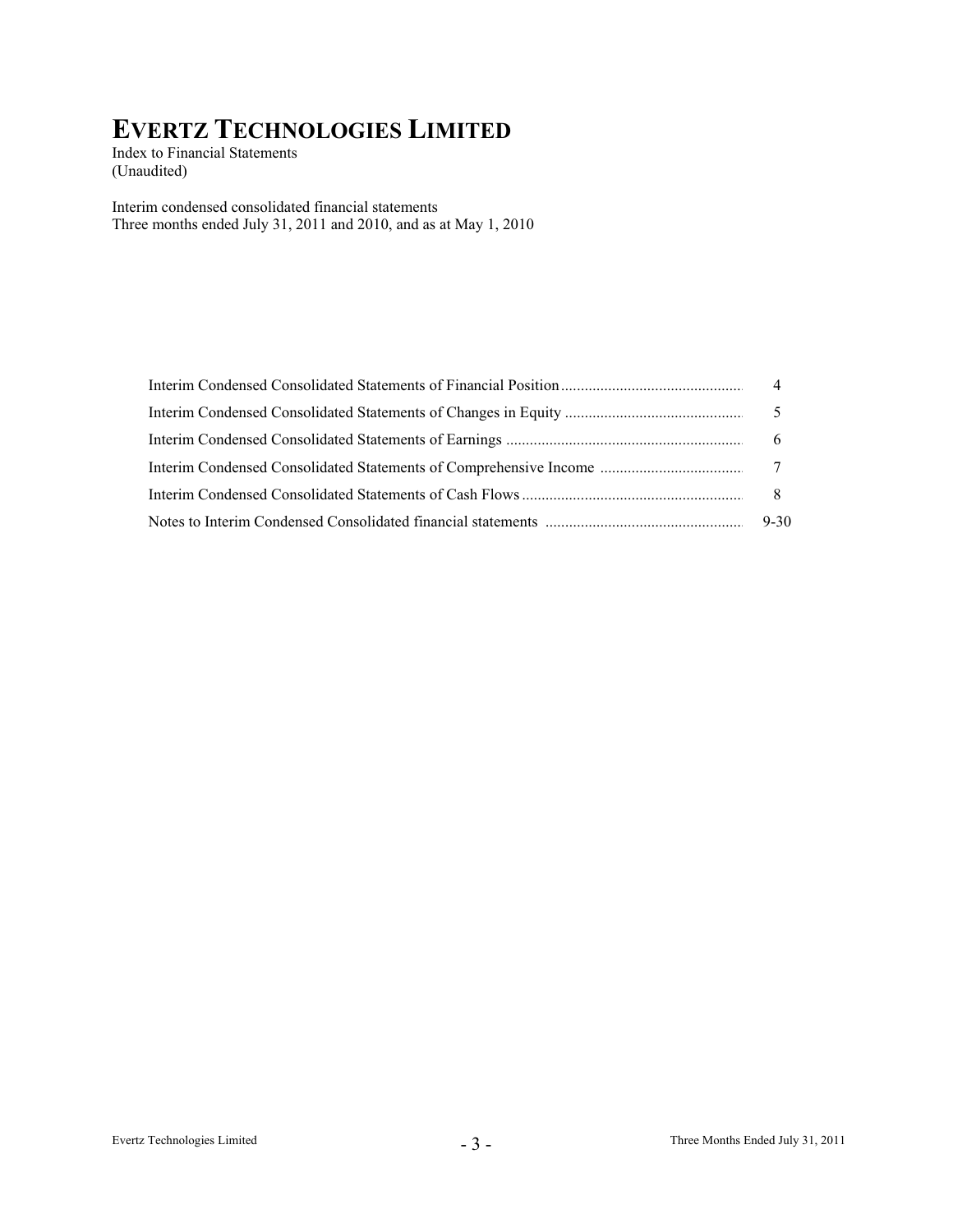Index to Financial Statements (Unaudited)

Interim condensed consolidated financial statements Three months ended July 31, 2011 and 2010, and as at May 1, 2010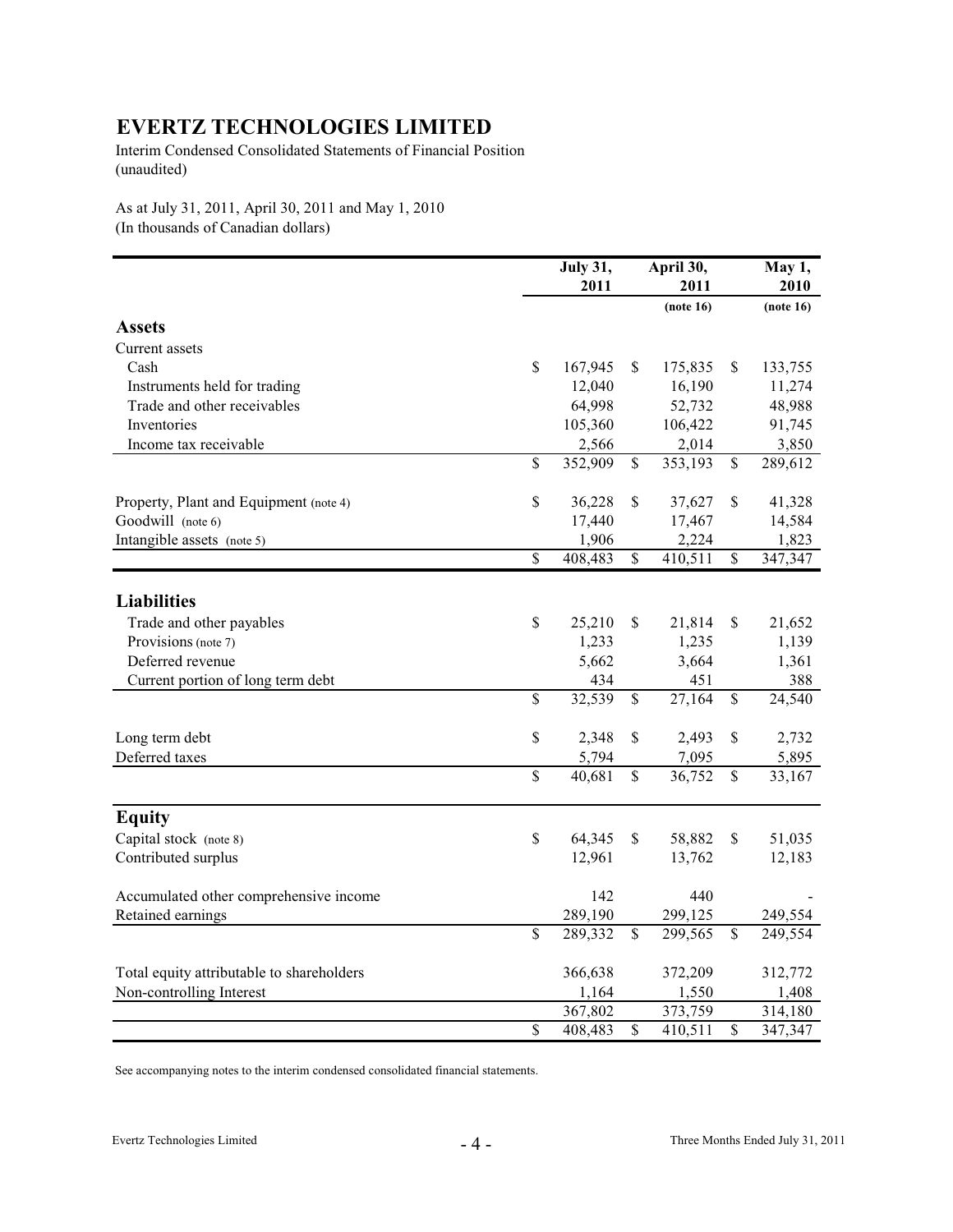Interim Condensed Consolidated Statements of Financial Position (unaudited)

As at July 31, 2011, April 30, 2011 and May 1, 2010 (In thousands of Canadian dollars)

|                                           |                          | <b>July 31,</b> |                         | April 30, |                          | May 1,    |
|-------------------------------------------|--------------------------|-----------------|-------------------------|-----------|--------------------------|-----------|
|                                           |                          | 2011            |                         | 2011      |                          | 2010      |
|                                           |                          |                 |                         | (note 16) |                          | (note 16) |
| <b>Assets</b>                             |                          |                 |                         |           |                          |           |
| Current assets                            |                          |                 |                         |           |                          |           |
| Cash                                      | $\mathbb{S}$             | 167,945         | \$                      | 175,835   | \$                       | 133,755   |
| Instruments held for trading              |                          | 12,040          |                         | 16,190    |                          | 11,274    |
| Trade and other receivables               |                          | 64,998          |                         | 52,732    |                          | 48,988    |
| Inventories                               |                          | 105,360         |                         | 106,422   |                          | 91,745    |
| Income tax receivable                     |                          | 2,566           |                         | 2,014     |                          | 3,850     |
|                                           | $\mathbb{S}$             | 352,909         | \$                      | 353,193   | \$                       | 289,612   |
| Property, Plant and Equipment (note 4)    | $\mathbb S$              | 36,228          | \$                      | 37,627    | \$                       | 41,328    |
| Goodwill (note 6)                         |                          | 17,440          |                         | 17,467    |                          | 14,584    |
| Intangible assets (note 5)                |                          | 1,906           |                         | 2,224     |                          | 1,823     |
|                                           | $\overline{\mathcal{S}}$ | 408,483         | $\overline{\mathbb{S}}$ | 410,511   | $\overline{\mathcal{S}}$ | 347,347   |
| <b>Liabilities</b>                        |                          |                 |                         |           |                          |           |
|                                           |                          |                 |                         |           |                          |           |
| Trade and other payables                  | $\mathbb S$              | 25,210          | \$                      | 21,814    | \$                       | 21,652    |
| Provisions (note 7)                       |                          | 1,233           |                         | 1,235     |                          | 1,139     |
| Deferred revenue                          |                          | 5,662           |                         | 3,664     |                          | 1,361     |
| Current portion of long term debt         |                          | 434             |                         | 451       |                          | 388       |
|                                           | $\overline{\mathcal{S}}$ | 32,539          | $\mathbb{S}$            | 27,164    | $\mathbb{S}$             | 24,540    |
| Long term debt                            | $\mathbb{S}$             | 2,348           | \$                      | 2,493     | \$                       | 2,732     |
| Deferred taxes                            |                          | 5,794           |                         | 7,095     |                          | 5,895     |
|                                           | $\mathbb{S}$             | 40,681          | \$                      | 36,752    | \$                       | 33,167    |
| <b>Equity</b>                             |                          |                 |                         |           |                          |           |
| Capital stock (note 8)                    | $\mathbb{S}$             | 64,345          | \$                      | 58,882    | \$                       | 51,035    |
| Contributed surplus                       |                          | 12,961          |                         | 13,762    |                          | 12,183    |
| Accumulated other comprehensive income    |                          | 142             |                         | 440       |                          |           |
| Retained earnings                         |                          | 289,190         |                         | 299,125   |                          | 249,554   |
|                                           | $\mathbb{S}$             | 289,332         | \$                      | 299,565   | \$                       | 249,554   |
| Total equity attributable to shareholders |                          | 366,638         |                         | 372,209   |                          | 312,772   |
| Non-controlling Interest                  |                          | 1,164           |                         | 1,550     |                          | 1,408     |
|                                           |                          | 367,802         |                         | 373,759   |                          | 314,180   |
|                                           | $\overline{\mathcal{S}}$ | 408,483         | \$                      | 410,511   | \$                       | 347,347   |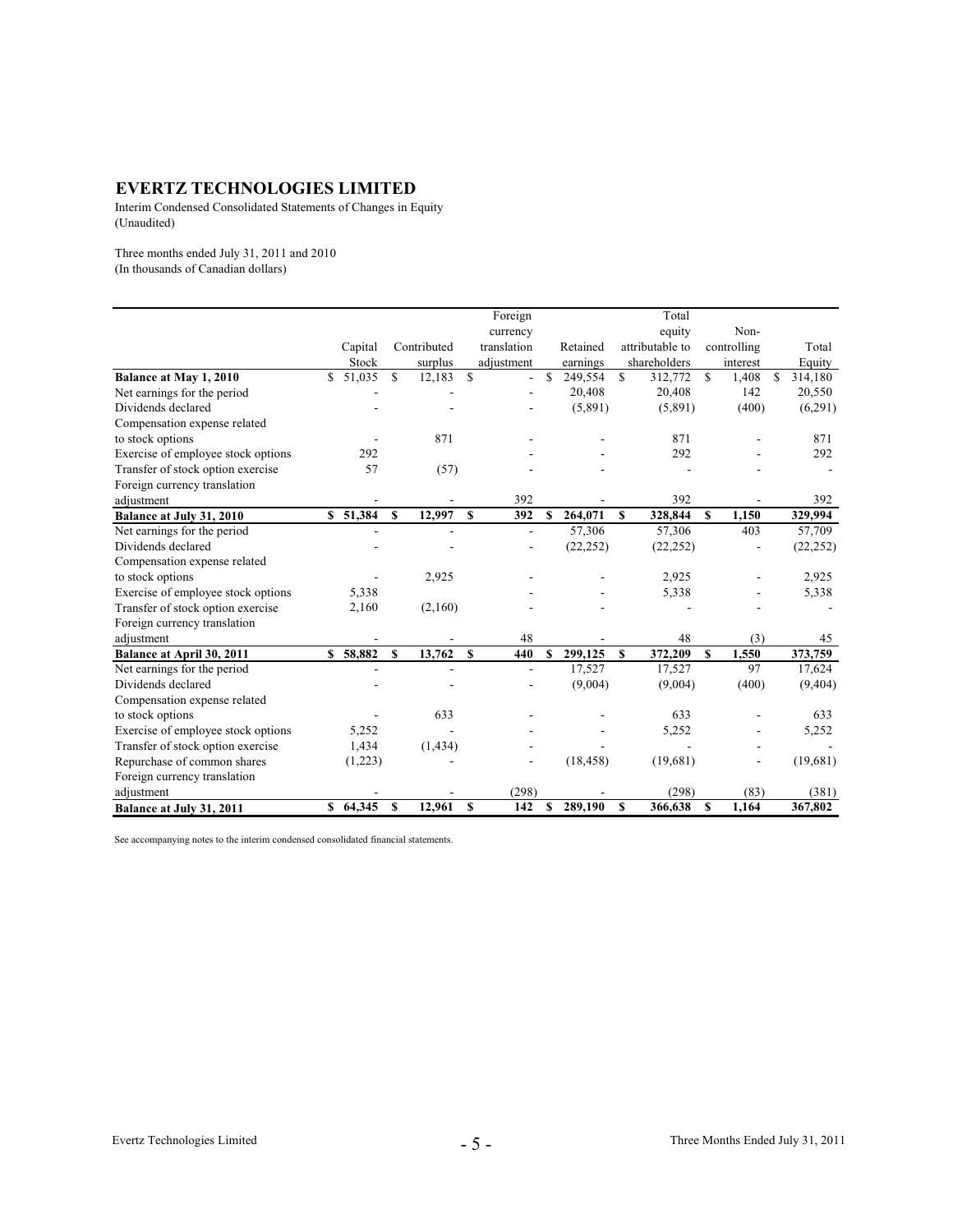Interim Condensed Consolidated Statements of Changes in Equity (Unaudited)

Three months ended July 31, 2011 and 2010 (In thousands of Canadian dollars)

|                                    |              |          |    |             |              | Foreign                  |    |           |              | Total           |              |             |               |
|------------------------------------|--------------|----------|----|-------------|--------------|--------------------------|----|-----------|--------------|-----------------|--------------|-------------|---------------|
|                                    |              |          |    |             |              | currency                 |    |           |              | equity          |              | Non-        |               |
|                                    |              | Capital  |    | Contributed |              | translation              |    | Retained  |              | attributable to |              | controlling | Total         |
|                                    |              | Stock    |    | surplus     |              | adjustment               |    | earnings  |              | shareholders    |              | interest    | Equity        |
| Balance at May 1, 2010             | \$           | 51,035   | S  | 12,183      | $\mathbf S$  | 4                        | S  | 249,554   | \$           | 312,772         | S.           | 1,408       | \$<br>314,180 |
| Net earnings for the period        |              |          |    |             |              |                          |    | 20,408    |              | 20,408          |              | 142         | 20,550        |
| Dividends declared                 |              |          |    |             |              |                          |    | (5,891)   |              | (5,891)         |              | (400)       | (6,291)       |
| Compensation expense related       |              |          |    |             |              |                          |    |           |              |                 |              |             |               |
| to stock options                   |              |          |    | 871         |              |                          |    |           |              | 871             |              |             | 871           |
| Exercise of employee stock options |              | 292      |    |             |              |                          |    |           |              | 292             |              |             | 292           |
| Transfer of stock option exercise  |              | 57       |    | (57)        |              |                          |    |           |              |                 |              |             |               |
| Foreign currency translation       |              |          |    |             |              |                          |    |           |              |                 |              |             |               |
| adjustment                         |              |          |    |             |              | 392                      |    |           |              | 392             |              |             | 392           |
| Balance at July 31, 2010           |              | \$51,384 | S  | 12,997      | $\mathbf{s}$ | 392                      | S  | 264,071   | $\mathbf{s}$ | 328,844         | $\mathbf{s}$ | 1,150       | 329,994       |
| Net earnings for the period        |              |          |    |             |              | $\overline{\phantom{a}}$ |    | 57,306    |              | 57,306          |              | 403         | 57,709        |
| Dividends declared                 |              |          |    |             |              |                          |    | (22, 252) |              | (22, 252)       |              |             | (22, 252)     |
| Compensation expense related       |              |          |    |             |              |                          |    |           |              |                 |              |             |               |
| to stock options                   |              |          |    | 2,925       |              |                          |    |           |              | 2,925           |              |             | 2,925         |
| Exercise of employee stock options |              | 5,338    |    |             |              |                          |    |           |              | 5,338           |              |             | 5,338         |
| Transfer of stock option exercise  |              | 2,160    |    | (2,160)     |              |                          |    |           |              |                 |              |             |               |
| Foreign currency translation       |              |          |    |             |              |                          |    |           |              |                 |              |             |               |
| adjustment                         |              |          |    |             |              | 48                       |    |           |              | 48              |              | (3)         | 45            |
| Balance at April 30, 2011          | $\mathbf{s}$ | 58,882   | \$ | 13,762      | $\mathbf{s}$ | 440                      | \$ | 299,125   | \$           | 372,209         | \$.          | 1,550       | 373,759       |
| Net earnings for the period        |              |          |    |             |              | ۰                        |    | 17,527    |              | 17,527          |              | 97          | 17,624        |
| Dividends declared                 |              |          |    |             |              |                          |    | (9,004)   |              | (9,004)         |              | (400)       | (9, 404)      |
| Compensation expense related       |              |          |    |             |              |                          |    |           |              |                 |              |             |               |
| to stock options                   |              |          |    | 633         |              |                          |    |           |              | 633             |              |             | 633           |
| Exercise of employee stock options |              | 5,252    |    |             |              |                          |    |           |              | 5,252           |              |             | 5,252         |
| Transfer of stock option exercise  |              | 1,434    |    | (1, 434)    |              |                          |    |           |              |                 |              |             |               |
| Repurchase of common shares        |              | (1,223)  |    |             |              |                          |    | (18, 458) |              | (19,681)        |              |             | (19,681)      |
| Foreign currency translation       |              |          |    |             |              |                          |    |           |              |                 |              |             |               |
| adjustment                         |              |          |    |             |              | (298)                    |    |           |              | (298)           |              | (83)        | (381)         |
| Balance at July 31, 2011           |              | \$64,345 | \$ | 12,961      | S            | 142                      | \$ | 289,190   | S            | 366,638         | S            | 1,164       | 367,802       |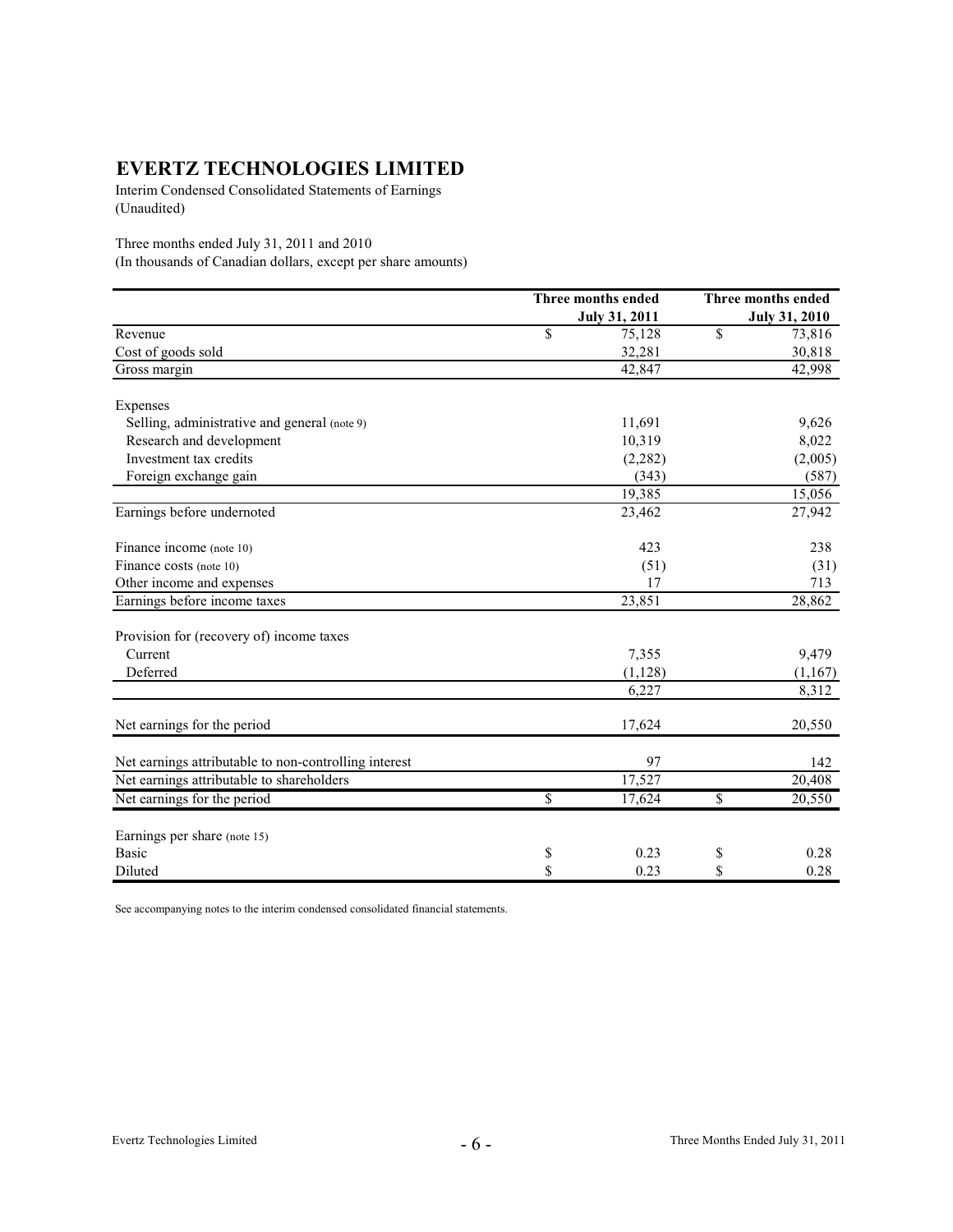Interim Condensed Consolidated Statements of Earnings (Unaudited)

Three months ended July 31, 2011 and 2010

(In thousands of Canadian dollars, except per share amounts)

|                                                       | Three months ended   | Three months ended   |
|-------------------------------------------------------|----------------------|----------------------|
|                                                       | <b>July 31, 2011</b> | <b>July 31, 2010</b> |
| Revenue                                               | \$<br>75,128         | \$<br>73,816         |
| Cost of goods sold                                    | 32,281               | 30,818               |
| Gross margin                                          | 42,847               | 42,998               |
| Expenses                                              |                      |                      |
| Selling, administrative and general (note 9)          | 11,691               | 9,626                |
| Research and development                              | 10,319               | 8,022                |
| Investment tax credits                                | (2, 282)             | (2,005)              |
| Foreign exchange gain                                 | (343)                | (587)                |
|                                                       | 19,385               | 15,056               |
| Earnings before undernoted                            | 23,462               | 27,942               |
| Finance income (note 10)                              | 423                  | 238                  |
| Finance costs (note 10)                               | (51)                 | (31)                 |
| Other income and expenses                             | 17                   | 713                  |
| Earnings before income taxes                          | 23,851               | 28,862               |
| Provision for (recovery of) income taxes              |                      |                      |
| Current                                               | 7,355                | 9,479                |
| Deferred                                              | (1, 128)             | (1,167)              |
|                                                       | 6,227                | 8,312                |
| Net earnings for the period                           | 17,624               | 20,550               |
| Net earnings attributable to non-controlling interest | 97                   | 142                  |
| Net earnings attributable to shareholders             | 17,527               | 20,408               |
| Net earnings for the period                           | \$<br>17,624         | \$<br>20,550         |
| Earnings per share (note 15)                          |                      |                      |
| <b>Basic</b>                                          | \$<br>0.23           | \$<br>0.28           |
| Diluted                                               | \$<br>0.23           | \$<br>0.28           |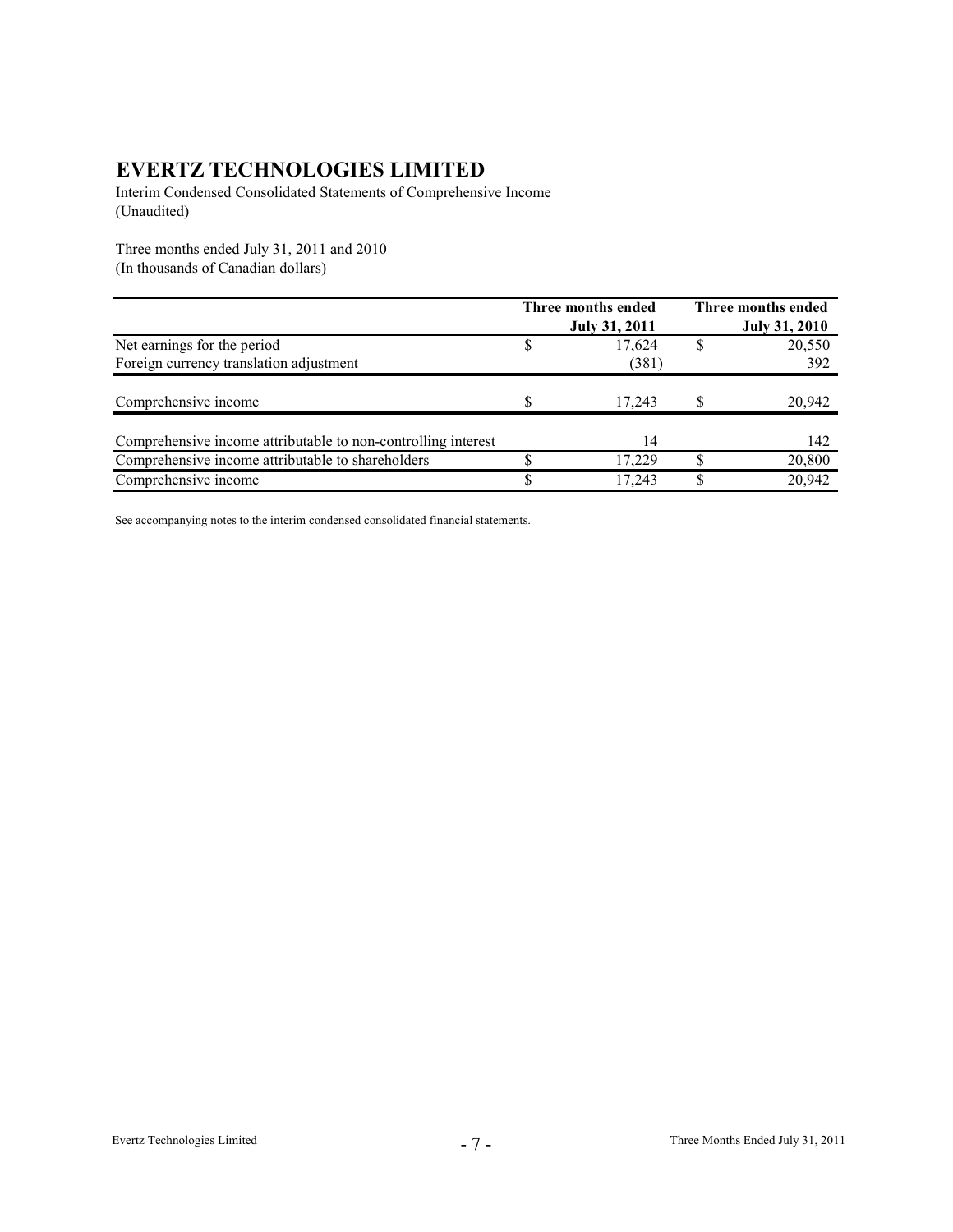Interim Condensed Consolidated Statements of Comprehensive Income (Unaudited)

Three months ended July 31, 2011 and 2010 (In thousands of Canadian dollars)

|                                                               | Three months ended   |   | <b>Three months ended</b> |
|---------------------------------------------------------------|----------------------|---|---------------------------|
|                                                               | <b>July 31, 2011</b> |   | <b>July 31, 2010</b>      |
| Net earnings for the period                                   | 17.624               |   | 20,550                    |
| Foreign currency translation adjustment                       | (381)                |   | 392                       |
| Comprehensive income                                          | 17.243               |   | 20,942                    |
| Comprehensive income attributable to non-controlling interest | 14                   |   | 142                       |
| Comprehensive income attributable to shareholders             | 17.229               | ¢ | 20,800                    |
| Comprehensive income                                          | 17.243               |   | 20,942                    |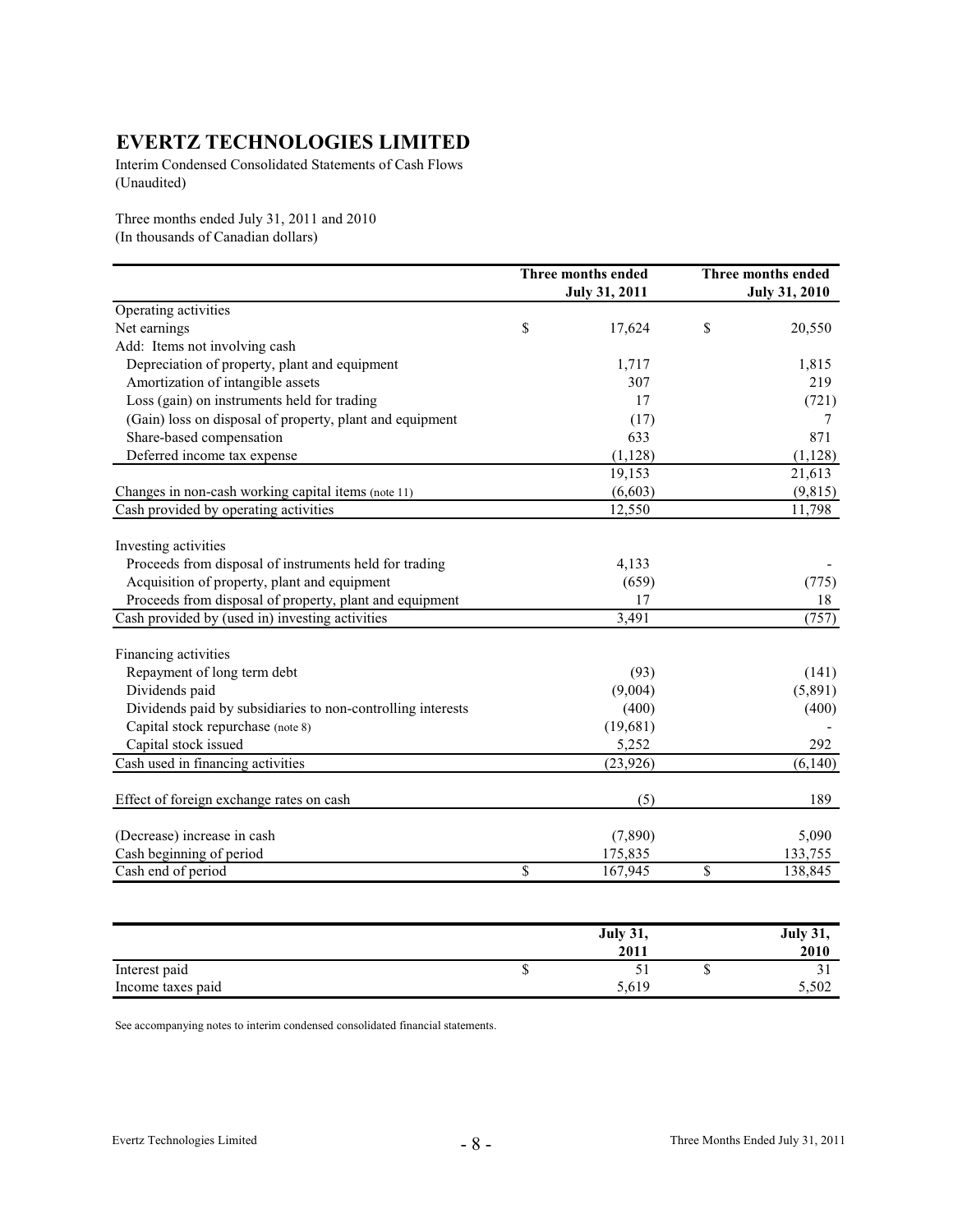Interim Condensed Consolidated Statements of Cash Flows (Unaudited)

Three months ended July 31, 2011 and 2010 (In thousands of Canadian dollars)

|                                                             | Three months ended<br><b>July 31, 2011</b> | Three months ended<br><b>July 31, 2010</b> |
|-------------------------------------------------------------|--------------------------------------------|--------------------------------------------|
| Operating activities                                        |                                            |                                            |
| Net earnings                                                | \$<br>17,624                               | \$<br>20,550                               |
| Add: Items not involving cash                               |                                            |                                            |
| Depreciation of property, plant and equipment               | 1,717                                      | 1,815                                      |
| Amortization of intangible assets                           | 307                                        | 219                                        |
| Loss (gain) on instruments held for trading                 | 17                                         | (721)                                      |
| (Gain) loss on disposal of property, plant and equipment    | (17)                                       | 7                                          |
| Share-based compensation                                    | 633                                        | 871                                        |
| Deferred income tax expense                                 | (1, 128)                                   | (1, 128)                                   |
|                                                             | 19,153                                     | 21,613                                     |
| Changes in non-cash working capital items (note 11)         | (6,603)                                    | (9, 815)                                   |
| Cash provided by operating activities                       | 12,550                                     | 11,798                                     |
| Investing activities                                        |                                            |                                            |
| Proceeds from disposal of instruments held for trading      | 4,133                                      |                                            |
| Acquisition of property, plant and equipment                | (659)                                      | (775)                                      |
| Proceeds from disposal of property, plant and equipment     | 17                                         | 18                                         |
| Cash provided by (used in) investing activities             | 3,491                                      | (757)                                      |
| Financing activities                                        |                                            |                                            |
| Repayment of long term debt                                 | (93)                                       | (141)                                      |
| Dividends paid                                              | (9,004)                                    | (5,891)                                    |
| Dividends paid by subsidiaries to non-controlling interests | (400)                                      | (400)                                      |
| Capital stock repurchase (note 8)                           | (19,681)                                   |                                            |
| Capital stock issued                                        | 5,252                                      | 292                                        |
| Cash used in financing activities                           | (23, 926)                                  | (6,140)                                    |
| Effect of foreign exchange rates on cash                    | (5)                                        | 189                                        |
| (Decrease) increase in cash                                 | (7,890)                                    | 5,090                                      |
| Cash beginning of period                                    | 175,835                                    | 133,755                                    |
| Cash end of period                                          | \$<br>167,945                              | \$<br>138,845                              |

|                   |   | <b>July 31,</b> |     |       |
|-------------------|---|-----------------|-----|-------|
|                   |   | 2011            |     | 2010  |
| Interest paid     | Φ |                 | ٠IJ | ັ     |
| Income taxes paid |   | 5,619           |     | 5,502 |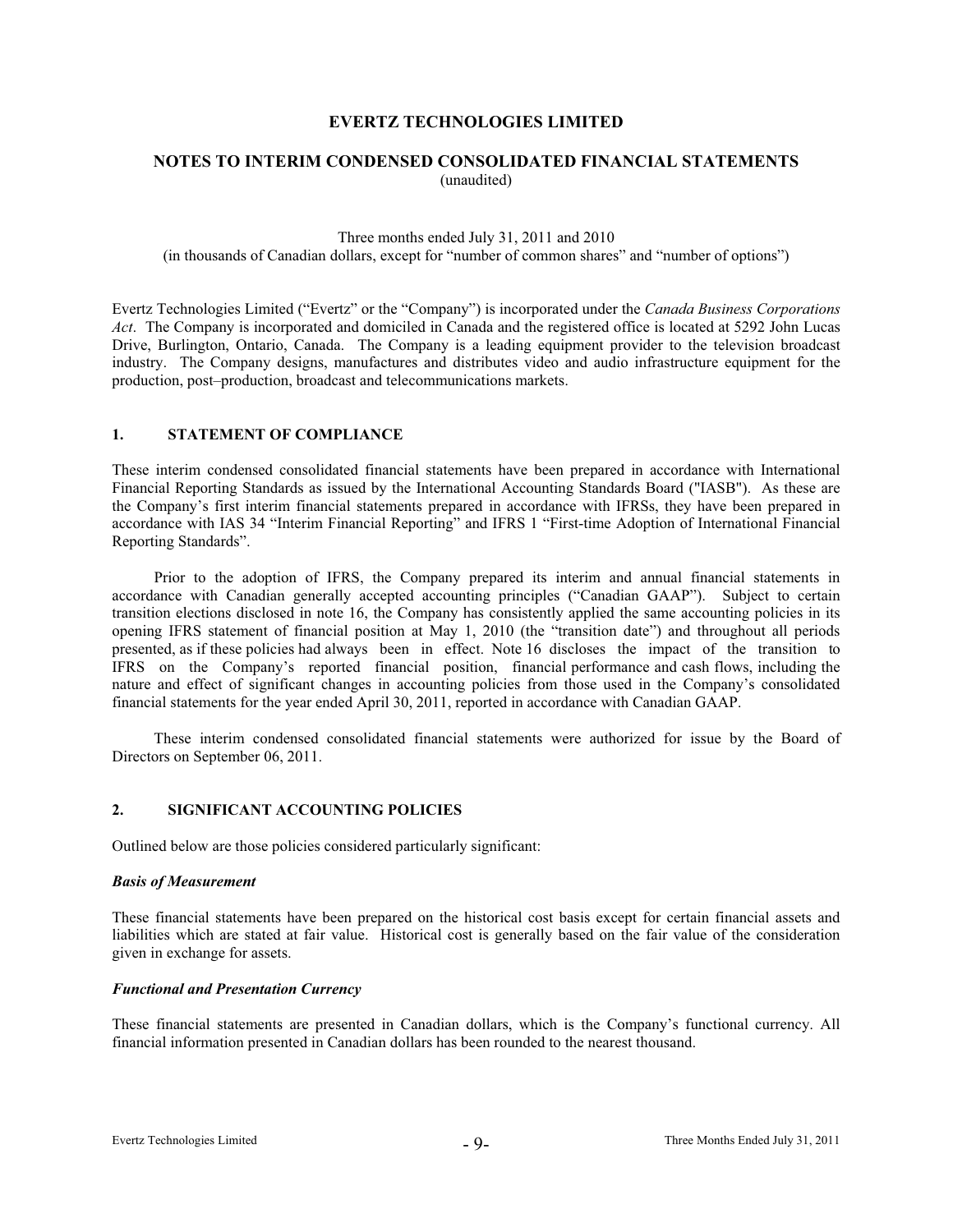# **NOTES TO INTERIM CONDENSED CONSOLIDATED FINANCIAL STATEMENTS** (unaudited)

Three months ended July 31, 2011 and 2010 (in thousands of Canadian dollars, except for "number of common shares" and "number of options")

Evertz Technologies Limited ("Evertz" or the "Company") is incorporated under the *Canada Business Corporations Act*. The Company is incorporated and domiciled in Canada and the registered office is located at 5292 John Lucas Drive, Burlington, Ontario, Canada. The Company is a leading equipment provider to the television broadcast industry. The Company designs, manufactures and distributes video and audio infrastructure equipment for the production, post–production, broadcast and telecommunications markets.

#### **1. STATEMENT OF COMPLIANCE**

These interim condensed consolidated financial statements have been prepared in accordance with International Financial Reporting Standards as issued by the International Accounting Standards Board ("IASB"). As these are the Company's first interim financial statements prepared in accordance with IFRSs, they have been prepared in accordance with IAS 34 "Interim Financial Reporting" and IFRS 1 "First-time Adoption of International Financial Reporting Standards".

Prior to the adoption of IFRS, the Company prepared its interim and annual financial statements in accordance with Canadian generally accepted accounting principles ("Canadian GAAP"). Subject to certain transition elections disclosed in note 16, the Company has consistently applied the same accounting policies in its opening IFRS statement of financial position at May 1, 2010 (the "transition date") and throughout all periods presented, as if these policies had always been in effect. Note 16 discloses the impact of the transition to IFRS on the Company's reported financial position, financial performance and cash flows, including the nature and effect of significant changes in accounting policies from those used in the Company's consolidated financial statements for the year ended April 30, 2011, reported in accordance with Canadian GAAP.

These interim condensed consolidated financial statements were authorized for issue by the Board of Directors on September 06, 2011.

#### **2. SIGNIFICANT ACCOUNTING POLICIES**

Outlined below are those policies considered particularly significant:

#### *Basis of Measurement*

These financial statements have been prepared on the historical cost basis except for certain financial assets and liabilities which are stated at fair value. Historical cost is generally based on the fair value of the consideration given in exchange for assets.

#### *Functional and Presentation Currency*

These financial statements are presented in Canadian dollars, which is the Company's functional currency. All financial information presented in Canadian dollars has been rounded to the nearest thousand.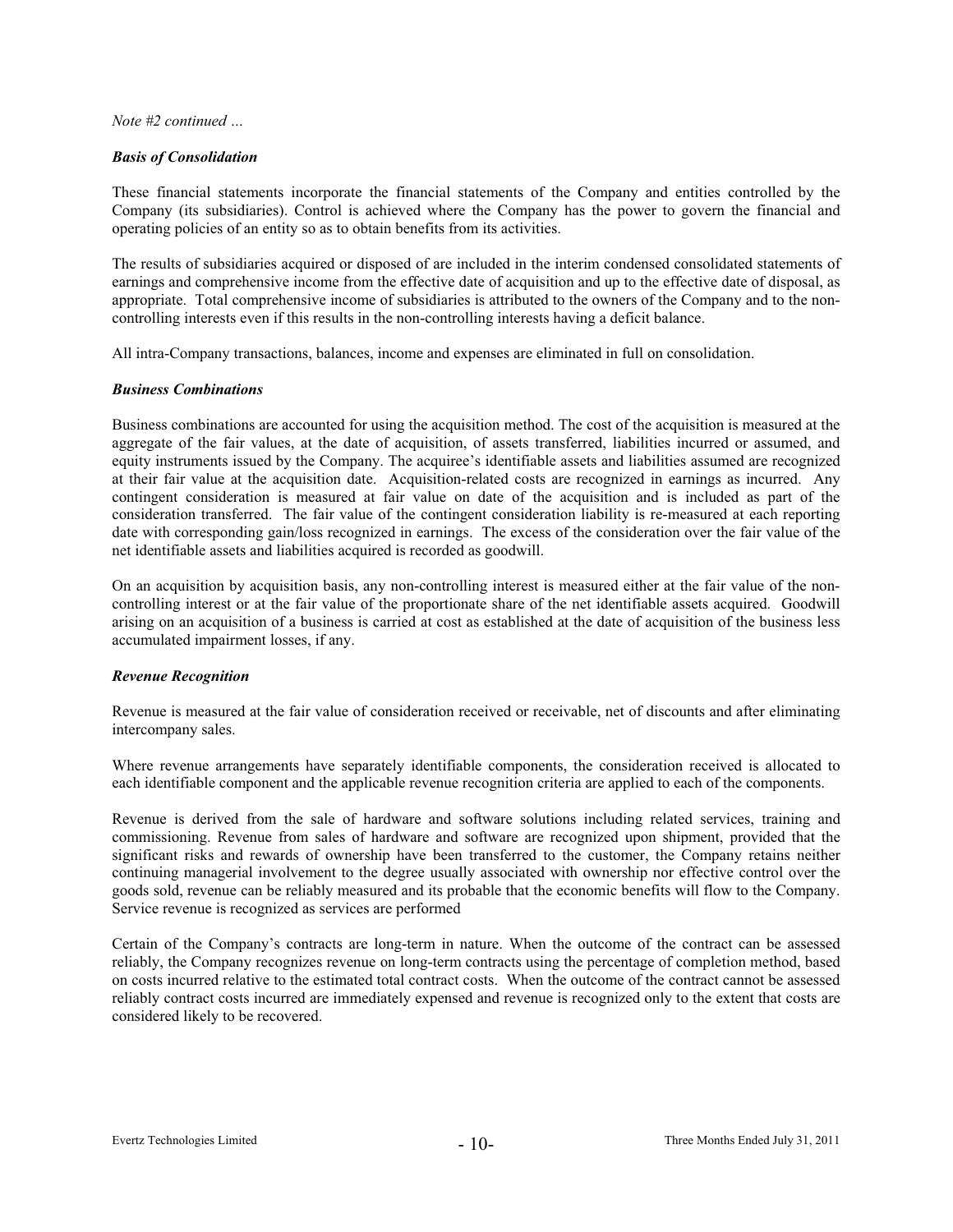#### *Basis of Consolidation*

These financial statements incorporate the financial statements of the Company and entities controlled by the Company (its subsidiaries). Control is achieved where the Company has the power to govern the financial and operating policies of an entity so as to obtain benefits from its activities.

The results of subsidiaries acquired or disposed of are included in the interim condensed consolidated statements of earnings and comprehensive income from the effective date of acquisition and up to the effective date of disposal, as appropriate. Total comprehensive income of subsidiaries is attributed to the owners of the Company and to the noncontrolling interests even if this results in the non-controlling interests having a deficit balance.

All intra-Company transactions, balances, income and expenses are eliminated in full on consolidation.

#### *Business Combinations*

Business combinations are accounted for using the acquisition method. The cost of the acquisition is measured at the aggregate of the fair values, at the date of acquisition, of assets transferred, liabilities incurred or assumed, and equity instruments issued by the Company. The acquiree's identifiable assets and liabilities assumed are recognized at their fair value at the acquisition date. Acquisition-related costs are recognized in earnings as incurred. Any contingent consideration is measured at fair value on date of the acquisition and is included as part of the consideration transferred. The fair value of the contingent consideration liability is re-measured at each reporting date with corresponding gain/loss recognized in earnings. The excess of the consideration over the fair value of the net identifiable assets and liabilities acquired is recorded as goodwill.

On an acquisition by acquisition basis, any non-controlling interest is measured either at the fair value of the noncontrolling interest or at the fair value of the proportionate share of the net identifiable assets acquired. Goodwill arising on an acquisition of a business is carried at cost as established at the date of acquisition of the business less accumulated impairment losses, if any.

#### *Revenue Recognition*

Revenue is measured at the fair value of consideration received or receivable, net of discounts and after eliminating intercompany sales.

Where revenue arrangements have separately identifiable components, the consideration received is allocated to each identifiable component and the applicable revenue recognition criteria are applied to each of the components.

Revenue is derived from the sale of hardware and software solutions including related services, training and commissioning. Revenue from sales of hardware and software are recognized upon shipment, provided that the significant risks and rewards of ownership have been transferred to the customer, the Company retains neither continuing managerial involvement to the degree usually associated with ownership nor effective control over the goods sold, revenue can be reliably measured and its probable that the economic benefits will flow to the Company. Service revenue is recognized as services are performed

Certain of the Company's contracts are long-term in nature. When the outcome of the contract can be assessed reliably, the Company recognizes revenue on long-term contracts using the percentage of completion method, based on costs incurred relative to the estimated total contract costs. When the outcome of the contract cannot be assessed reliably contract costs incurred are immediately expensed and revenue is recognized only to the extent that costs are considered likely to be recovered.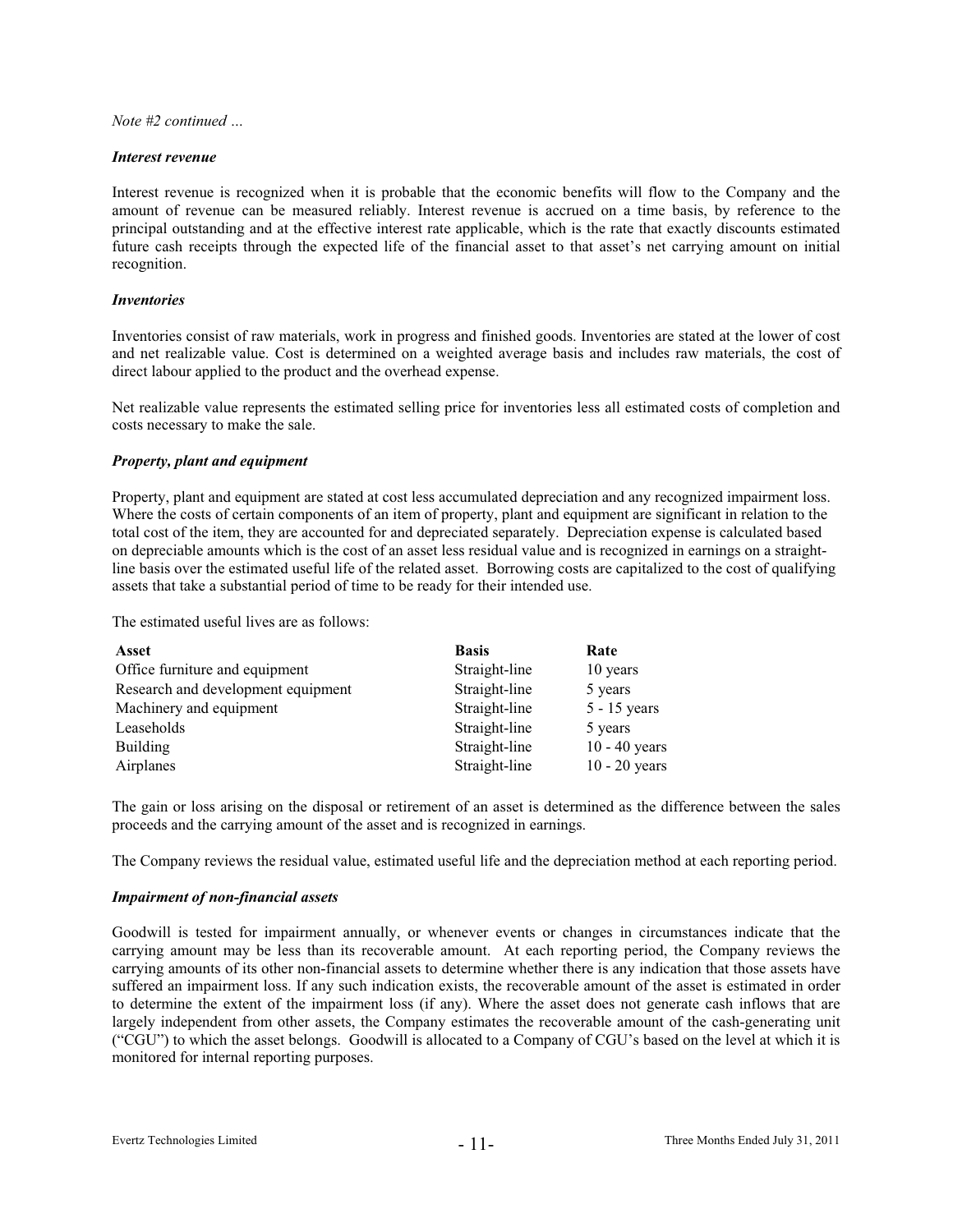#### *Interest revenue*

Interest revenue is recognized when it is probable that the economic benefits will flow to the Company and the amount of revenue can be measured reliably. Interest revenue is accrued on a time basis, by reference to the principal outstanding and at the effective interest rate applicable, which is the rate that exactly discounts estimated future cash receipts through the expected life of the financial asset to that asset's net carrying amount on initial recognition.

#### *Inventories*

Inventories consist of raw materials, work in progress and finished goods. Inventories are stated at the lower of cost and net realizable value. Cost is determined on a weighted average basis and includes raw materials, the cost of direct labour applied to the product and the overhead expense.

Net realizable value represents the estimated selling price for inventories less all estimated costs of completion and costs necessary to make the sale.

#### *Property, plant and equipment*

Property, plant and equipment are stated at cost less accumulated depreciation and any recognized impairment loss. Where the costs of certain components of an item of property, plant and equipment are significant in relation to the total cost of the item, they are accounted for and depreciated separately. Depreciation expense is calculated based on depreciable amounts which is the cost of an asset less residual value and is recognized in earnings on a straightline basis over the estimated useful life of the related asset. Borrowing costs are capitalized to the cost of qualifying assets that take a substantial period of time to be ready for their intended use.

The estimated useful lives are as follows:

| Asset                              | <b>Basis</b>  | Rate            |
|------------------------------------|---------------|-----------------|
| Office furniture and equipment     | Straight-line | 10 years        |
| Research and development equipment | Straight-line | 5 years         |
| Machinery and equipment            | Straight-line | $5 - 15$ years  |
| Leaseholds                         | Straight-line | 5 years         |
| <b>Building</b>                    | Straight-line | $10 - 40$ years |
| Airplanes                          | Straight-line | $10 - 20$ years |

The gain or loss arising on the disposal or retirement of an asset is determined as the difference between the sales proceeds and the carrying amount of the asset and is recognized in earnings.

The Company reviews the residual value, estimated useful life and the depreciation method at each reporting period.

#### *Impairment of non-financial assets*

Goodwill is tested for impairment annually, or whenever events or changes in circumstances indicate that the carrying amount may be less than its recoverable amount. At each reporting period, the Company reviews the carrying amounts of its other non-financial assets to determine whether there is any indication that those assets have suffered an impairment loss. If any such indication exists, the recoverable amount of the asset is estimated in order to determine the extent of the impairment loss (if any). Where the asset does not generate cash inflows that are largely independent from other assets, the Company estimates the recoverable amount of the cash-generating unit ("CGU") to which the asset belongs. Goodwill is allocated to a Company of CGU's based on the level at which it is monitored for internal reporting purposes.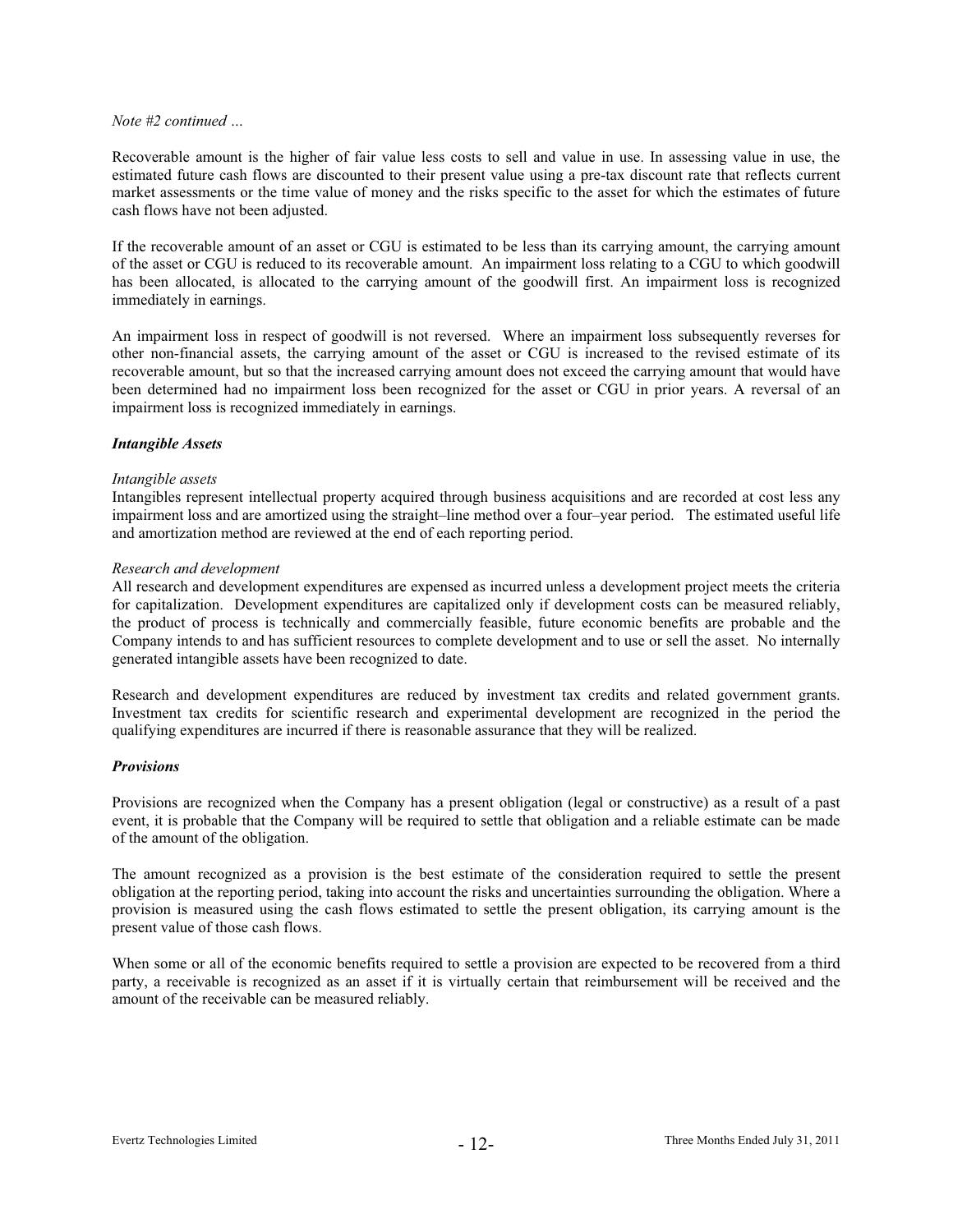Recoverable amount is the higher of fair value less costs to sell and value in use. In assessing value in use, the estimated future cash flows are discounted to their present value using a pre-tax discount rate that reflects current market assessments or the time value of money and the risks specific to the asset for which the estimates of future cash flows have not been adjusted.

If the recoverable amount of an asset or CGU is estimated to be less than its carrying amount, the carrying amount of the asset or CGU is reduced to its recoverable amount. An impairment loss relating to a CGU to which goodwill has been allocated, is allocated to the carrying amount of the goodwill first. An impairment loss is recognized immediately in earnings.

An impairment loss in respect of goodwill is not reversed. Where an impairment loss subsequently reverses for other non-financial assets, the carrying amount of the asset or CGU is increased to the revised estimate of its recoverable amount, but so that the increased carrying amount does not exceed the carrying amount that would have been determined had no impairment loss been recognized for the asset or CGU in prior years. A reversal of an impairment loss is recognized immediately in earnings.

#### *Intangible Assets*

#### *Intangible assets*

Intangibles represent intellectual property acquired through business acquisitions and are recorded at cost less any impairment loss and are amortized using the straight–line method over a four–year period. The estimated useful life and amortization method are reviewed at the end of each reporting period.

#### *Research and development*

All research and development expenditures are expensed as incurred unless a development project meets the criteria for capitalization. Development expenditures are capitalized only if development costs can be measured reliably, the product of process is technically and commercially feasible, future economic benefits are probable and the Company intends to and has sufficient resources to complete development and to use or sell the asset. No internally generated intangible assets have been recognized to date.

Research and development expenditures are reduced by investment tax credits and related government grants. Investment tax credits for scientific research and experimental development are recognized in the period the qualifying expenditures are incurred if there is reasonable assurance that they will be realized.

#### *Provisions*

Provisions are recognized when the Company has a present obligation (legal or constructive) as a result of a past event, it is probable that the Company will be required to settle that obligation and a reliable estimate can be made of the amount of the obligation.

The amount recognized as a provision is the best estimate of the consideration required to settle the present obligation at the reporting period, taking into account the risks and uncertainties surrounding the obligation. Where a provision is measured using the cash flows estimated to settle the present obligation, its carrying amount is the present value of those cash flows.

When some or all of the economic benefits required to settle a provision are expected to be recovered from a third party, a receivable is recognized as an asset if it is virtually certain that reimbursement will be received and the amount of the receivable can be measured reliably.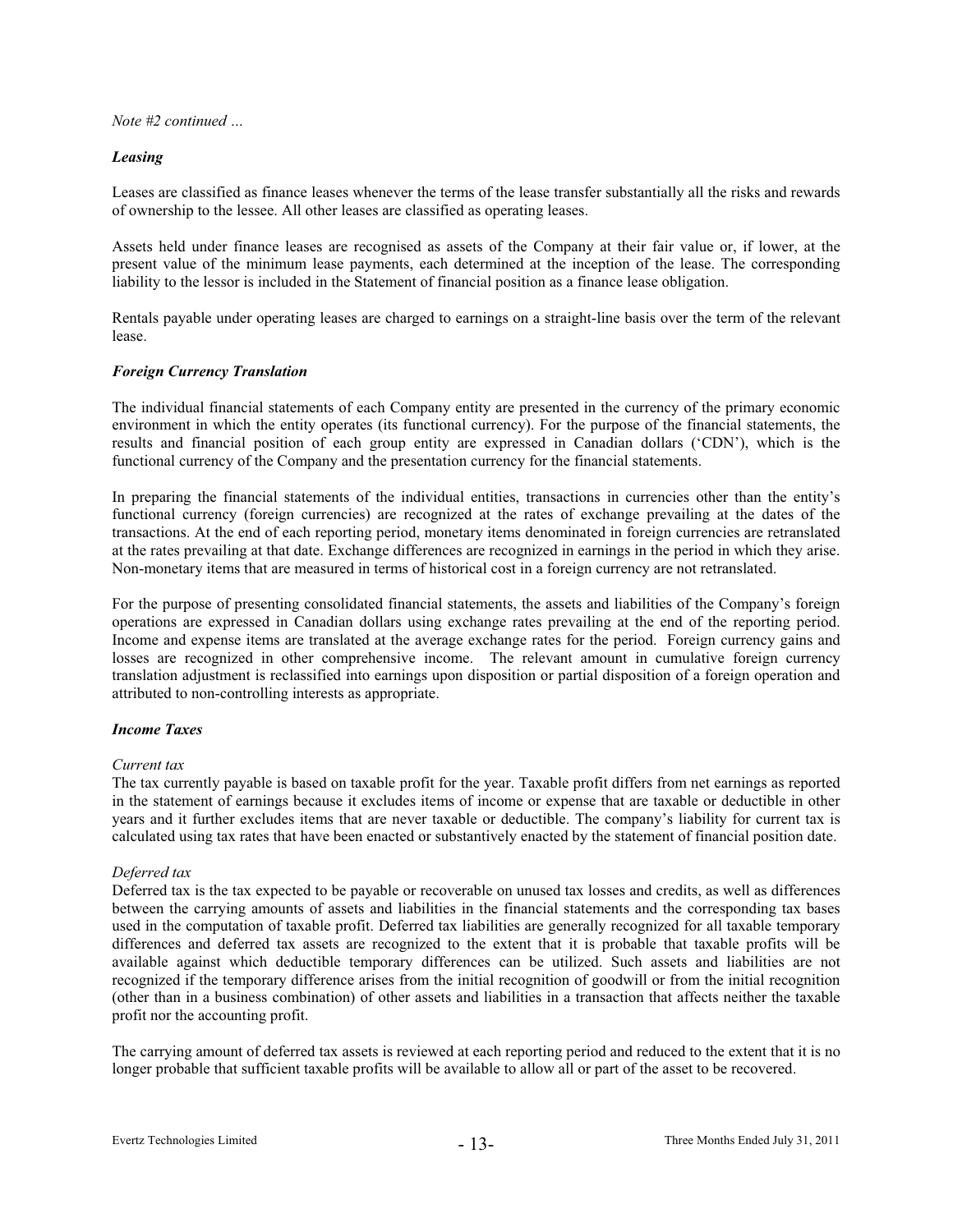#### *Leasing*

Leases are classified as finance leases whenever the terms of the lease transfer substantially all the risks and rewards of ownership to the lessee. All other leases are classified as operating leases.

Assets held under finance leases are recognised as assets of the Company at their fair value or, if lower, at the present value of the minimum lease payments, each determined at the inception of the lease. The corresponding liability to the lessor is included in the Statement of financial position as a finance lease obligation.

Rentals payable under operating leases are charged to earnings on a straight-line basis over the term of the relevant lease.

#### *Foreign Currency Translation*

The individual financial statements of each Company entity are presented in the currency of the primary economic environment in which the entity operates (its functional currency). For the purpose of the financial statements, the results and financial position of each group entity are expressed in Canadian dollars ('CDN'), which is the functional currency of the Company and the presentation currency for the financial statements.

In preparing the financial statements of the individual entities, transactions in currencies other than the entity's functional currency (foreign currencies) are recognized at the rates of exchange prevailing at the dates of the transactions. At the end of each reporting period, monetary items denominated in foreign currencies are retranslated at the rates prevailing at that date. Exchange differences are recognized in earnings in the period in which they arise. Non-monetary items that are measured in terms of historical cost in a foreign currency are not retranslated.

For the purpose of presenting consolidated financial statements, the assets and liabilities of the Company's foreign operations are expressed in Canadian dollars using exchange rates prevailing at the end of the reporting period. Income and expense items are translated at the average exchange rates for the period. Foreign currency gains and losses are recognized in other comprehensive income. The relevant amount in cumulative foreign currency translation adjustment is reclassified into earnings upon disposition or partial disposition of a foreign operation and attributed to non-controlling interests as appropriate.

#### *Income Taxes*

#### *Current tax*

The tax currently payable is based on taxable profit for the year. Taxable profit differs from net earnings as reported in the statement of earnings because it excludes items of income or expense that are taxable or deductible in other years and it further excludes items that are never taxable or deductible. The company's liability for current tax is calculated using tax rates that have been enacted or substantively enacted by the statement of financial position date.

# *Deferred tax*

Deferred tax is the tax expected to be payable or recoverable on unused tax losses and credits, as well as differences between the carrying amounts of assets and liabilities in the financial statements and the corresponding tax bases used in the computation of taxable profit. Deferred tax liabilities are generally recognized for all taxable temporary differences and deferred tax assets are recognized to the extent that it is probable that taxable profits will be available against which deductible temporary differences can be utilized. Such assets and liabilities are not recognized if the temporary difference arises from the initial recognition of goodwill or from the initial recognition (other than in a business combination) of other assets and liabilities in a transaction that affects neither the taxable profit nor the accounting profit.

The carrying amount of deferred tax assets is reviewed at each reporting period and reduced to the extent that it is no longer probable that sufficient taxable profits will be available to allow all or part of the asset to be recovered.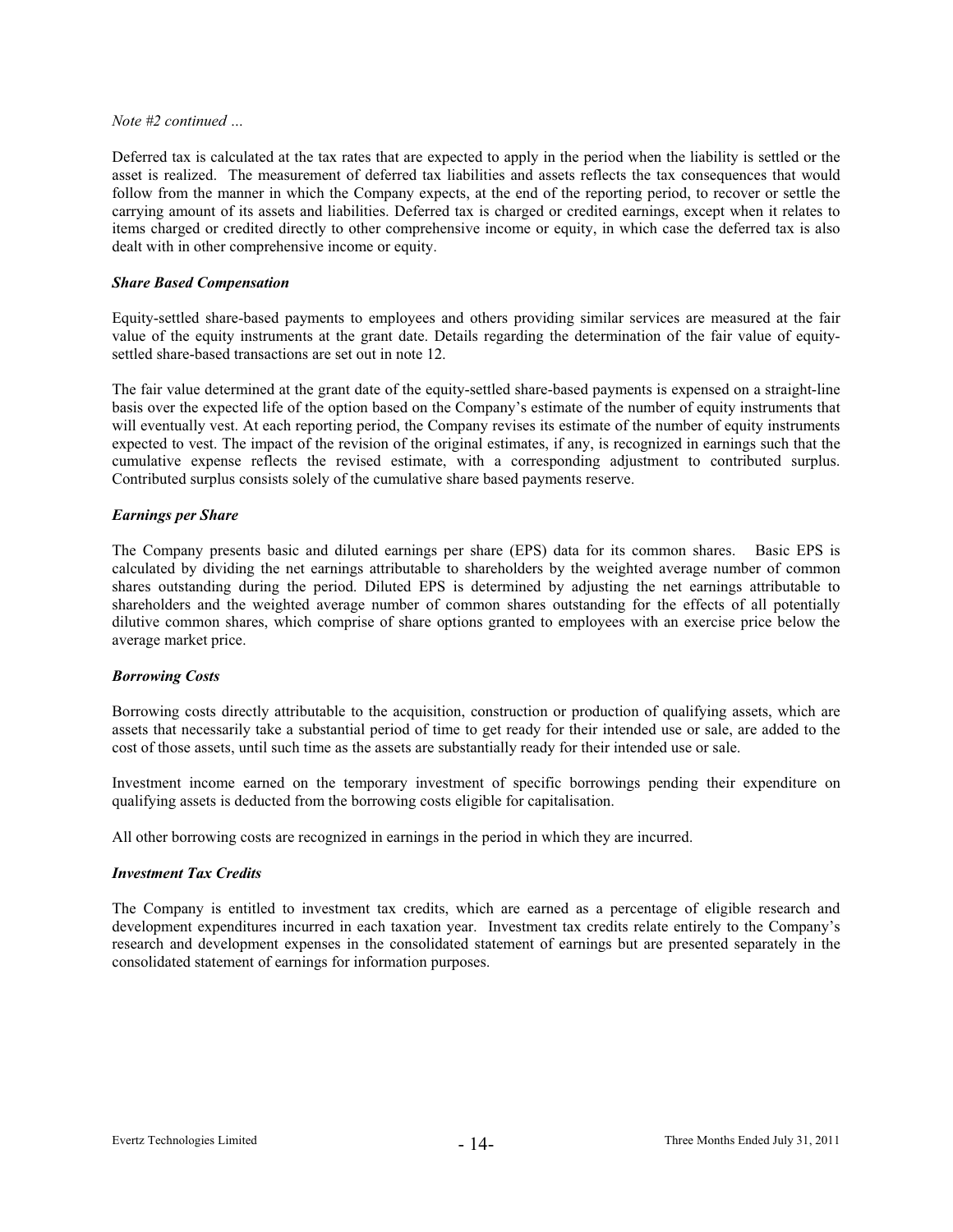Deferred tax is calculated at the tax rates that are expected to apply in the period when the liability is settled or the asset is realized. The measurement of deferred tax liabilities and assets reflects the tax consequences that would follow from the manner in which the Company expects, at the end of the reporting period, to recover or settle the carrying amount of its assets and liabilities. Deferred tax is charged or credited earnings, except when it relates to items charged or credited directly to other comprehensive income or equity, in which case the deferred tax is also dealt with in other comprehensive income or equity.

#### *Share Based Compensation*

Equity-settled share-based payments to employees and others providing similar services are measured at the fair value of the equity instruments at the grant date. Details regarding the determination of the fair value of equitysettled share-based transactions are set out in note 12.

The fair value determined at the grant date of the equity-settled share-based payments is expensed on a straight-line basis over the expected life of the option based on the Company's estimate of the number of equity instruments that will eventually vest. At each reporting period, the Company revises its estimate of the number of equity instruments expected to vest. The impact of the revision of the original estimates, if any, is recognized in earnings such that the cumulative expense reflects the revised estimate, with a corresponding adjustment to contributed surplus. Contributed surplus consists solely of the cumulative share based payments reserve.

#### *Earnings per Share*

The Company presents basic and diluted earnings per share (EPS) data for its common shares. Basic EPS is calculated by dividing the net earnings attributable to shareholders by the weighted average number of common shares outstanding during the period. Diluted EPS is determined by adjusting the net earnings attributable to shareholders and the weighted average number of common shares outstanding for the effects of all potentially dilutive common shares, which comprise of share options granted to employees with an exercise price below the average market price.

#### *Borrowing Costs*

Borrowing costs directly attributable to the acquisition, construction or production of qualifying assets, which are assets that necessarily take a substantial period of time to get ready for their intended use or sale, are added to the cost of those assets, until such time as the assets are substantially ready for their intended use or sale.

Investment income earned on the temporary investment of specific borrowings pending their expenditure on qualifying assets is deducted from the borrowing costs eligible for capitalisation.

All other borrowing costs are recognized in earnings in the period in which they are incurred.

#### *Investment Tax Credits*

The Company is entitled to investment tax credits, which are earned as a percentage of eligible research and development expenditures incurred in each taxation year. Investment tax credits relate entirely to the Company's research and development expenses in the consolidated statement of earnings but are presented separately in the consolidated statement of earnings for information purposes.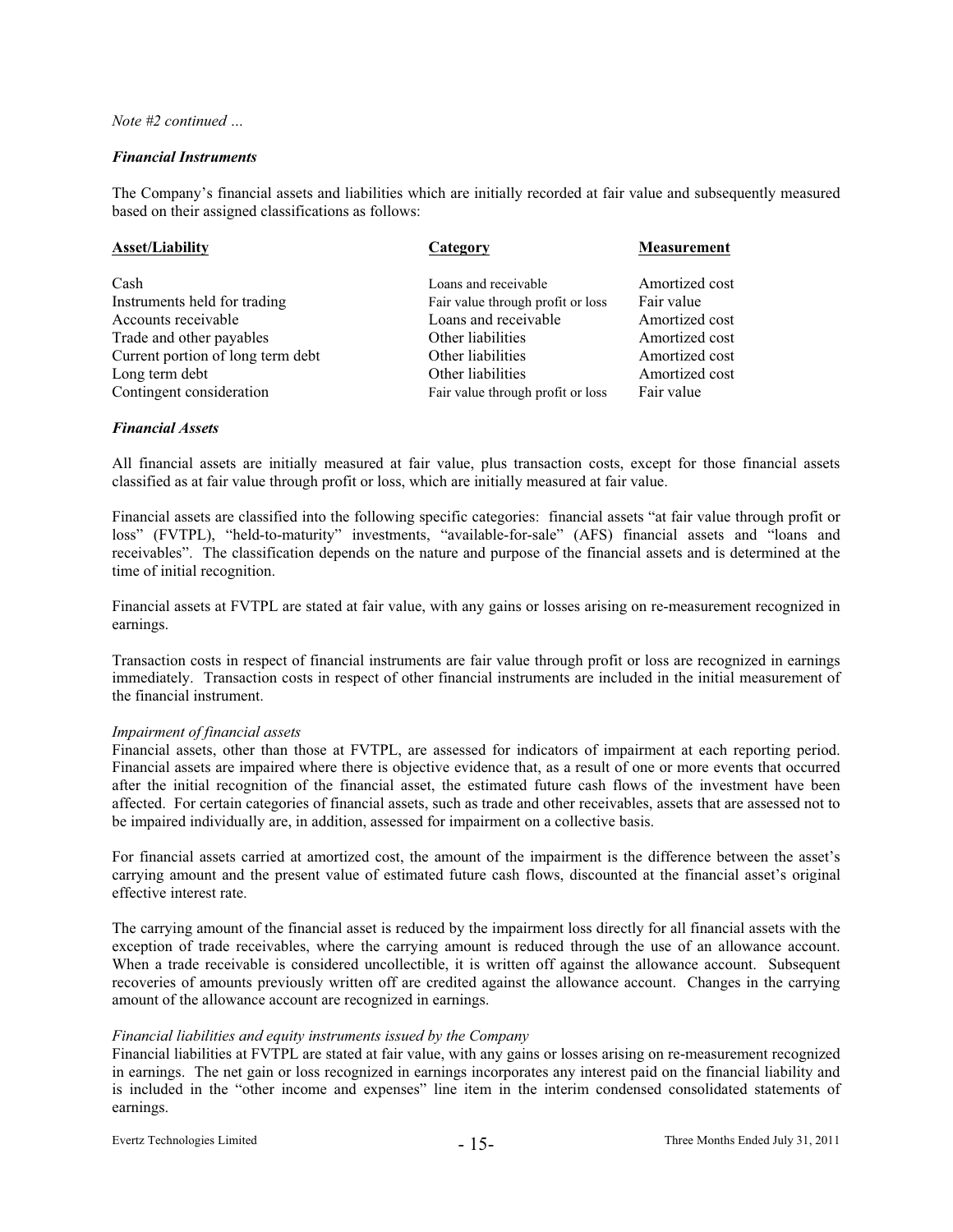#### *Financial Instruments*

The Company's financial assets and liabilities which are initially recorded at fair value and subsequently measured based on their assigned classifications as follows:

| <b>Asset/Liability</b><br>Category |                                   | <b>Measurement</b> |
|------------------------------------|-----------------------------------|--------------------|
|                                    |                                   |                    |
| Cash                               | Loans and receivable              | Amortized cost     |
| Instruments held for trading       | Fair value through profit or loss | Fair value         |
| Accounts receivable                | Loans and receivable              | Amortized cost     |
| Trade and other payables           | Other liabilities                 | Amortized cost     |
| Current portion of long term debt  | Other liabilities                 | Amortized cost     |
| Long term debt                     | Other liabilities                 | Amortized cost     |
| Contingent consideration           | Fair value through profit or loss | Fair value         |

#### *Financial Assets*

All financial assets are initially measured at fair value, plus transaction costs, except for those financial assets classified as at fair value through profit or loss, which are initially measured at fair value.

Financial assets are classified into the following specific categories: financial assets "at fair value through profit or loss" (FVTPL), "held-to-maturity" investments, "available-for-sale" (AFS) financial assets and "loans and receivables". The classification depends on the nature and purpose of the financial assets and is determined at the time of initial recognition.

Financial assets at FVTPL are stated at fair value, with any gains or losses arising on re-measurement recognized in earnings.

Transaction costs in respect of financial instruments are fair value through profit or loss are recognized in earnings immediately. Transaction costs in respect of other financial instruments are included in the initial measurement of the financial instrument.

#### *Impairment of financial assets*

Financial assets, other than those at FVTPL, are assessed for indicators of impairment at each reporting period. Financial assets are impaired where there is objective evidence that, as a result of one or more events that occurred after the initial recognition of the financial asset, the estimated future cash flows of the investment have been affected. For certain categories of financial assets, such as trade and other receivables, assets that are assessed not to be impaired individually are, in addition, assessed for impairment on a collective basis.

For financial assets carried at amortized cost, the amount of the impairment is the difference between the asset's carrying amount and the present value of estimated future cash flows, discounted at the financial asset's original effective interest rate.

The carrying amount of the financial asset is reduced by the impairment loss directly for all financial assets with the exception of trade receivables, where the carrying amount is reduced through the use of an allowance account. When a trade receivable is considered uncollectible, it is written off against the allowance account. Subsequent recoveries of amounts previously written off are credited against the allowance account. Changes in the carrying amount of the allowance account are recognized in earnings.

#### *Financial liabilities and equity instruments issued by the Company*

Financial liabilities at FVTPL are stated at fair value, with any gains or losses arising on re-measurement recognized in earnings. The net gain or loss recognized in earnings incorporates any interest paid on the financial liability and is included in the "other income and expenses" line item in the interim condensed consolidated statements of earnings.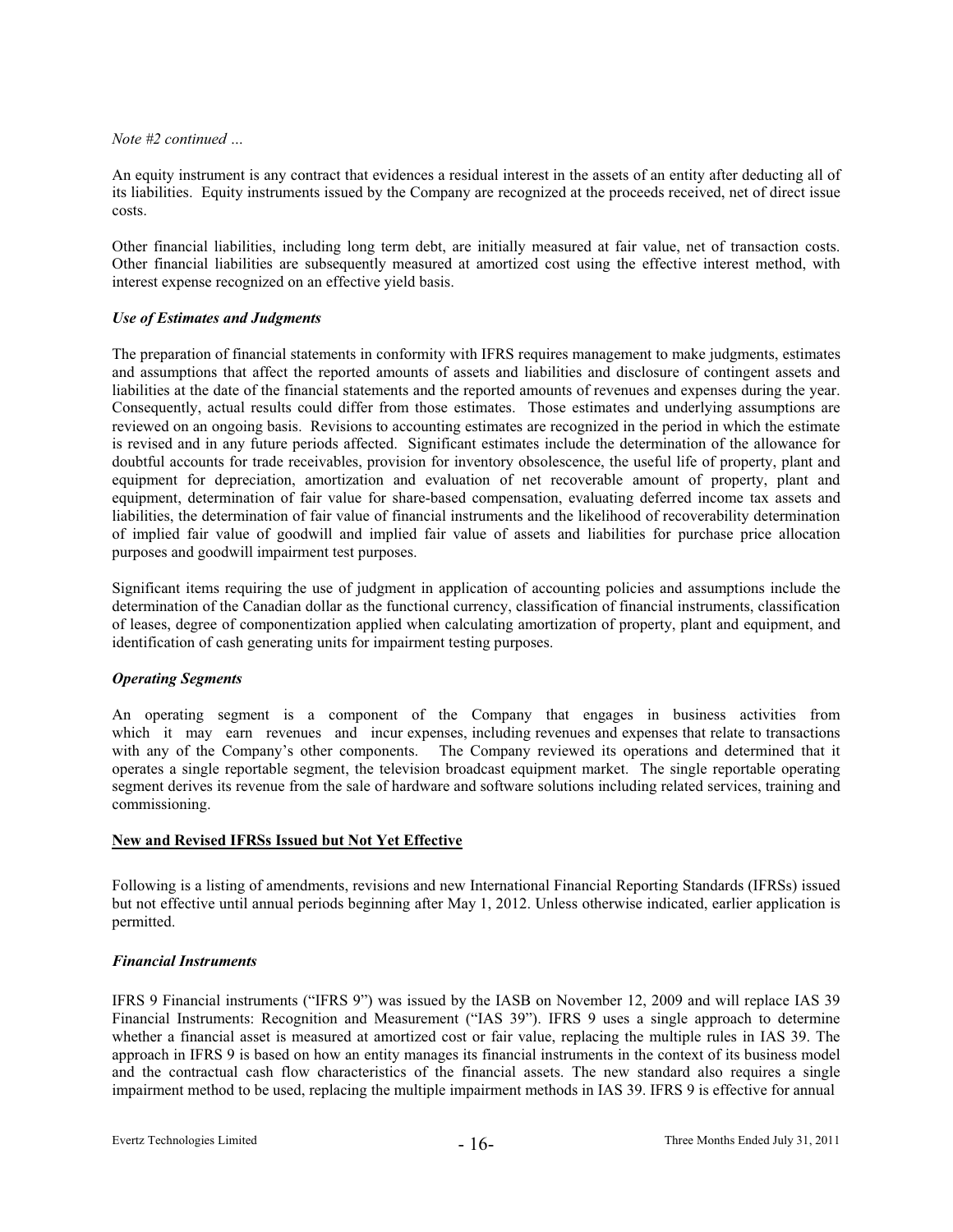An equity instrument is any contract that evidences a residual interest in the assets of an entity after deducting all of its liabilities. Equity instruments issued by the Company are recognized at the proceeds received, net of direct issue costs.

Other financial liabilities, including long term debt, are initially measured at fair value, net of transaction costs. Other financial liabilities are subsequently measured at amortized cost using the effective interest method, with interest expense recognized on an effective yield basis.

#### *Use of Estimates and Judgments*

The preparation of financial statements in conformity with IFRS requires management to make judgments, estimates and assumptions that affect the reported amounts of assets and liabilities and disclosure of contingent assets and liabilities at the date of the financial statements and the reported amounts of revenues and expenses during the year. Consequently, actual results could differ from those estimates. Those estimates and underlying assumptions are reviewed on an ongoing basis. Revisions to accounting estimates are recognized in the period in which the estimate is revised and in any future periods affected. Significant estimates include the determination of the allowance for doubtful accounts for trade receivables, provision for inventory obsolescence, the useful life of property, plant and equipment for depreciation, amortization and evaluation of net recoverable amount of property, plant and equipment, determination of fair value for share-based compensation, evaluating deferred income tax assets and liabilities, the determination of fair value of financial instruments and the likelihood of recoverability determination of implied fair value of goodwill and implied fair value of assets and liabilities for purchase price allocation purposes and goodwill impairment test purposes.

Significant items requiring the use of judgment in application of accounting policies and assumptions include the determination of the Canadian dollar as the functional currency, classification of financial instruments, classification of leases, degree of componentization applied when calculating amortization of property, plant and equipment, and identification of cash generating units for impairment testing purposes.

#### *Operating Segments*

An operating segment is a component of the Company that engages in business activities from which it may earn revenues and incur expenses, including revenues and expenses that relate to transactions with any of the Company's other components. The Company reviewed its operations and determined that it operates a single reportable segment, the television broadcast equipment market. The single reportable operating segment derives its revenue from the sale of hardware and software solutions including related services, training and commissioning.

# **New and Revised IFRSs Issued but Not Yet Effective**

Following is a listing of amendments, revisions and new International Financial Reporting Standards (IFRSs) issued but not effective until annual periods beginning after May 1, 2012. Unless otherwise indicated, earlier application is permitted.

#### *Financial Instruments*

IFRS 9 Financial instruments ("IFRS 9") was issued by the IASB on November 12, 2009 and will replace IAS 39 Financial Instruments: Recognition and Measurement ("IAS 39"). IFRS 9 uses a single approach to determine whether a financial asset is measured at amortized cost or fair value, replacing the multiple rules in IAS 39. The approach in IFRS 9 is based on how an entity manages its financial instruments in the context of its business model and the contractual cash flow characteristics of the financial assets. The new standard also requires a single impairment method to be used, replacing the multiple impairment methods in IAS 39. IFRS 9 is effective for annual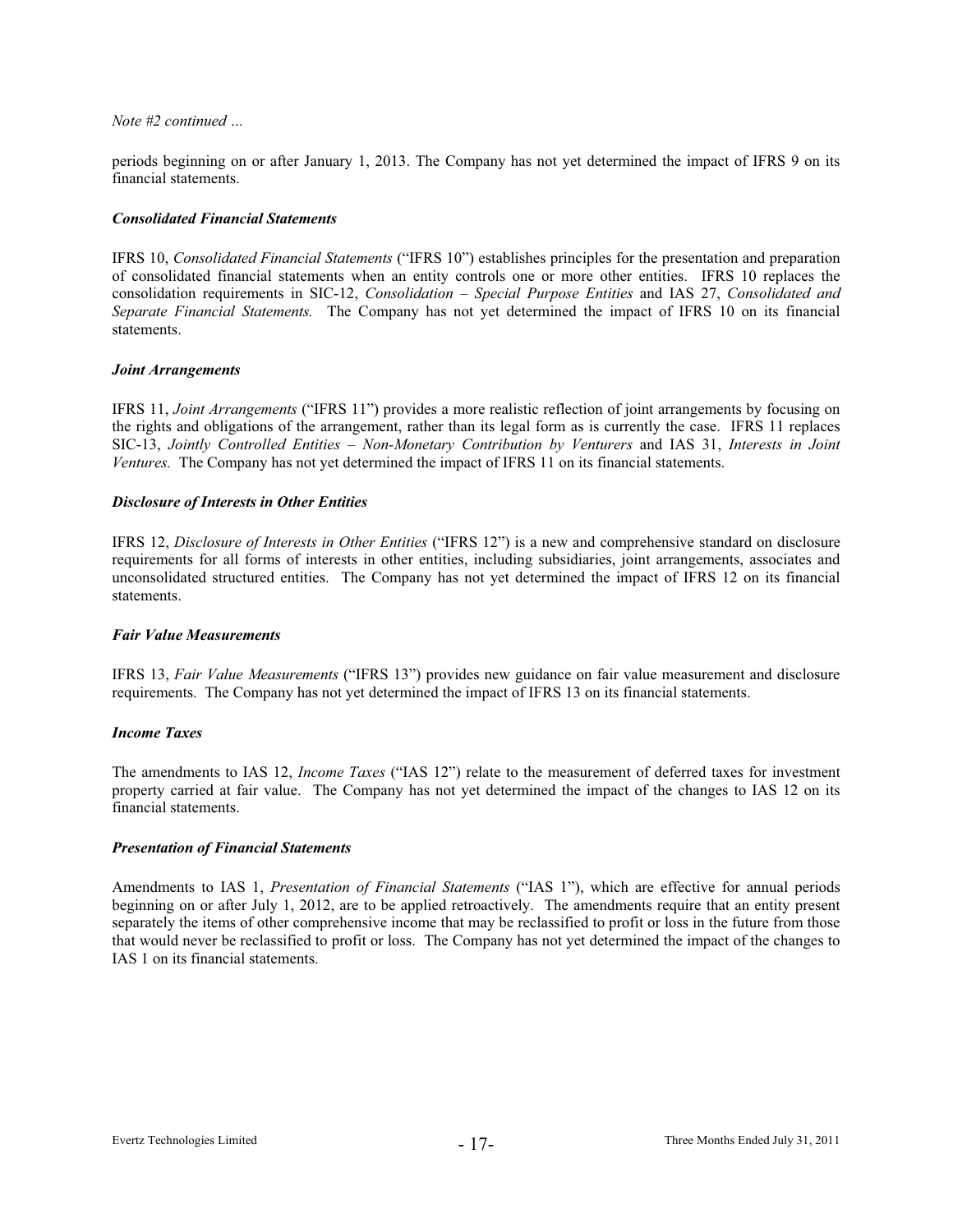periods beginning on or after January 1, 2013. The Company has not yet determined the impact of IFRS 9 on its financial statements.

#### *Consolidated Financial Statements*

IFRS 10, *Consolidated Financial Statements* ("IFRS 10") establishes principles for the presentation and preparation of consolidated financial statements when an entity controls one or more other entities. IFRS 10 replaces the consolidation requirements in SIC-12, *Consolidation – Special Purpose Entities* and IAS 27, *Consolidated and Separate Financial Statements.* The Company has not yet determined the impact of IFRS 10 on its financial statements.

#### *Joint Arrangements*

IFRS 11, *Joint Arrangements* ("IFRS 11") provides a more realistic reflection of joint arrangements by focusing on the rights and obligations of the arrangement, rather than its legal form as is currently the case. IFRS 11 replaces SIC-13, *Jointly Controlled Entities – Non-Monetary Contribution by Venturers* and IAS 31, *Interests in Joint Ventures.* The Company has not yet determined the impact of IFRS 11 on its financial statements.

#### *Disclosure of Interests in Other Entities*

IFRS 12, *Disclosure of Interests in Other Entities* ("IFRS 12") is a new and comprehensive standard on disclosure requirements for all forms of interests in other entities, including subsidiaries, joint arrangements, associates and unconsolidated structured entities. The Company has not yet determined the impact of IFRS 12 on its financial statements.

#### *Fair Value Measurements*

IFRS 13, *Fair Value Measurements* ("IFRS 13") provides new guidance on fair value measurement and disclosure requirements. The Company has not yet determined the impact of IFRS 13 on its financial statements.

# *Income Taxes*

The amendments to IAS 12, *Income Taxes* ("IAS 12") relate to the measurement of deferred taxes for investment property carried at fair value. The Company has not yet determined the impact of the changes to IAS 12 on its financial statements.

#### *Presentation of Financial Statements*

Amendments to IAS 1, *Presentation of Financial Statements* ("IAS 1"), which are effective for annual periods beginning on or after July 1, 2012, are to be applied retroactively. The amendments require that an entity present separately the items of other comprehensive income that may be reclassified to profit or loss in the future from those that would never be reclassified to profit or loss. The Company has not yet determined the impact of the changes to IAS 1 on its financial statements.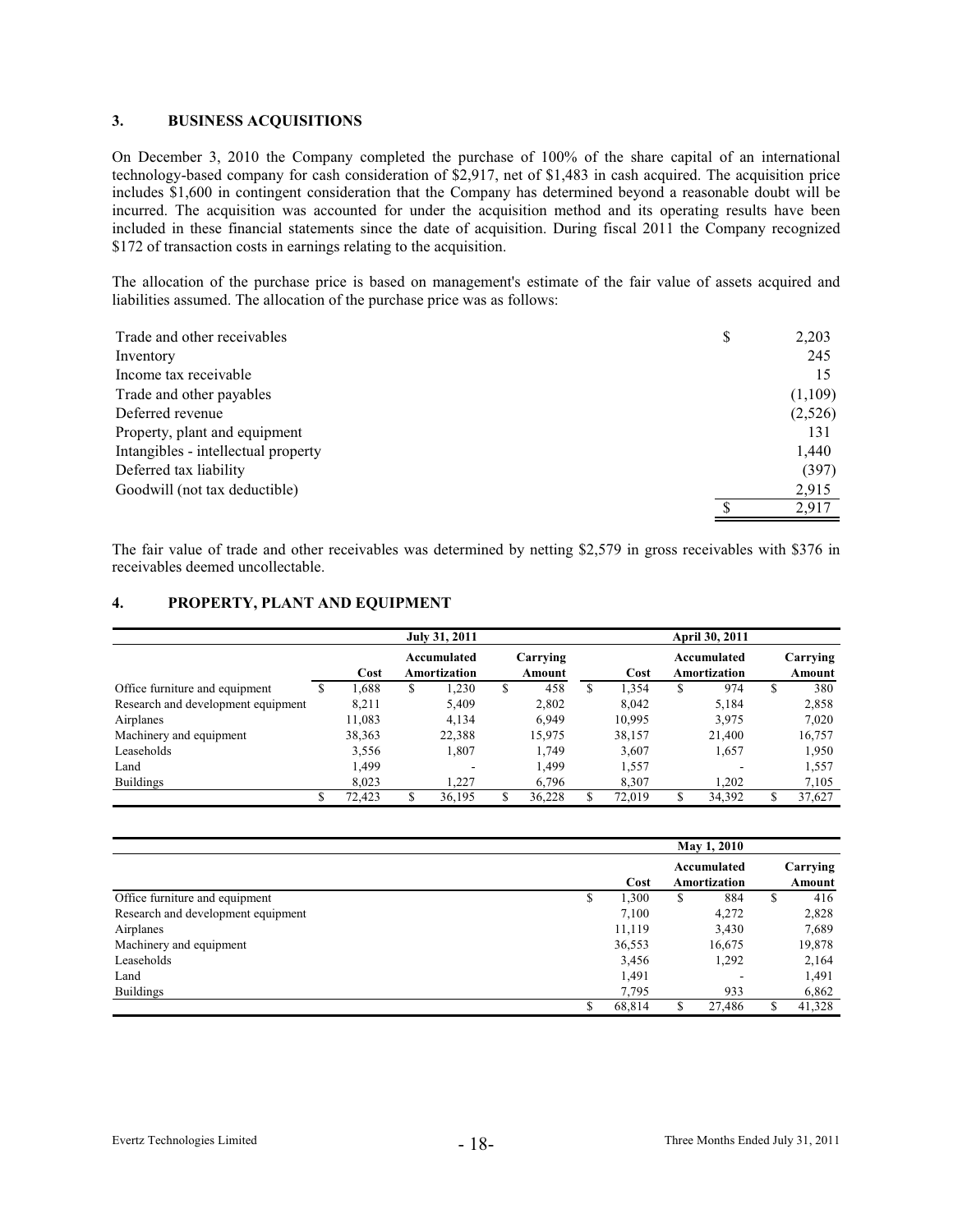# **3. BUSINESS ACQUISITIONS**

On December 3, 2010 the Company completed the purchase of 100% of the share capital of an international technology-based company for cash consideration of \$2,917, net of \$1,483 in cash acquired. The acquisition price includes \$1,600 in contingent consideration that the Company has determined beyond a reasonable doubt will be incurred. The acquisition was accounted for under the acquisition method and its operating results have been included in these financial statements since the date of acquisition. During fiscal 2011 the Company recognized \$172 of transaction costs in earnings relating to the acquisition.

The allocation of the purchase price is based on management's estimate of the fair value of assets acquired and liabilities assumed. The allocation of the purchase price was as follows:

| Trade and other receivables         | S | 2,203   |
|-------------------------------------|---|---------|
| Inventory                           |   | 245     |
| Income tax receivable               |   | 15      |
| Trade and other payables            |   | (1,109) |
| Deferred revenue                    |   | (2,526) |
| Property, plant and equipment       |   | 131     |
| Intangibles - intellectual property |   | 1,440   |
| Deferred tax liability              |   | (397)   |
| Goodwill (not tax deductible)       |   | 2,915   |
|                                     |   | 2,917   |

The fair value of trade and other receivables was determined by netting \$2,579 in gross receivables with \$376 in receivables deemed uncollectable.

### **4. PROPERTY, PLANT AND EQUIPMENT**

|                                    |   | July 31, 2011 |                                                   |        |    |        | April 30, 2011 |                             |    |                    |    |        |
|------------------------------------|---|---------------|---------------------------------------------------|--------|----|--------|----------------|-----------------------------|----|--------------------|----|--------|
|                                    |   | Cost          | Carrying<br>Accumulated<br>Amortization<br>Amount |        |    | Cost   |                | Accumulated<br>Amortization |    | Carrying<br>Amount |    |        |
| Office furniture and equipment     | S | 1.688         | \$                                                | 1,230  | \$ | 458    | S              | .354                        | S  | 974                | \$ | 380    |
| Research and development equipment |   | 8.211         |                                                   | 5,409  |    | 2,802  |                | 8.042                       |    | 5,184              |    | 2,858  |
| Airplanes                          |   | 11,083        |                                                   | 4,134  |    | 6,949  |                | 10,995                      |    | 3,975              |    | 7,020  |
| Machinery and equipment            |   | 38,363        |                                                   | 22,388 |    | 15,975 |                | 38,157                      |    | 21,400             |    | 16,757 |
| Leaseholds                         |   | 3,556         |                                                   | 1,807  |    | 1.749  |                | 3,607                       |    | 1,657              |    | 1,950  |
| Land                               |   | 1.499         |                                                   | -      |    | 1,499  |                | 1,557                       |    | -                  |    | 1,557  |
| <b>Buildings</b>                   |   | 8.023         |                                                   | 1.227  |    | 6,796  |                | 8.307                       |    | 1,202              |    | 7,105  |
|                                    |   | 72,423        | S                                                 | 36,195 | \$ | 36,228 |                | 72.019                      | \$ | 34,392             |    | 37,627 |

|                                    |        |    | May 1, 2010  |    |          |
|------------------------------------|--------|----|--------------|----|----------|
|                                    |        |    | Accumulated  |    | Carrying |
|                                    | Cost   |    | Amortization |    | Amount   |
| Office furniture and equipment     | 1,300  | \$ | 884          | \$ | 416      |
| Research and development equipment | 7,100  |    | 4,272        |    | 2,828    |
| Airplanes                          | 11,119 |    | 3,430        |    | 7,689    |
| Machinery and equipment            | 36,553 |    | 16,675       |    | 19,878   |
| Leaseholds                         | 3.456  |    | 1,292        |    | 2,164    |
| Land                               | 1,491  |    | -            |    | 1,491    |
| <b>Buildings</b>                   | 7.795  |    | 933          |    | 6,862    |
|                                    | 68.814 | S  | 27.486       |    | 41,328   |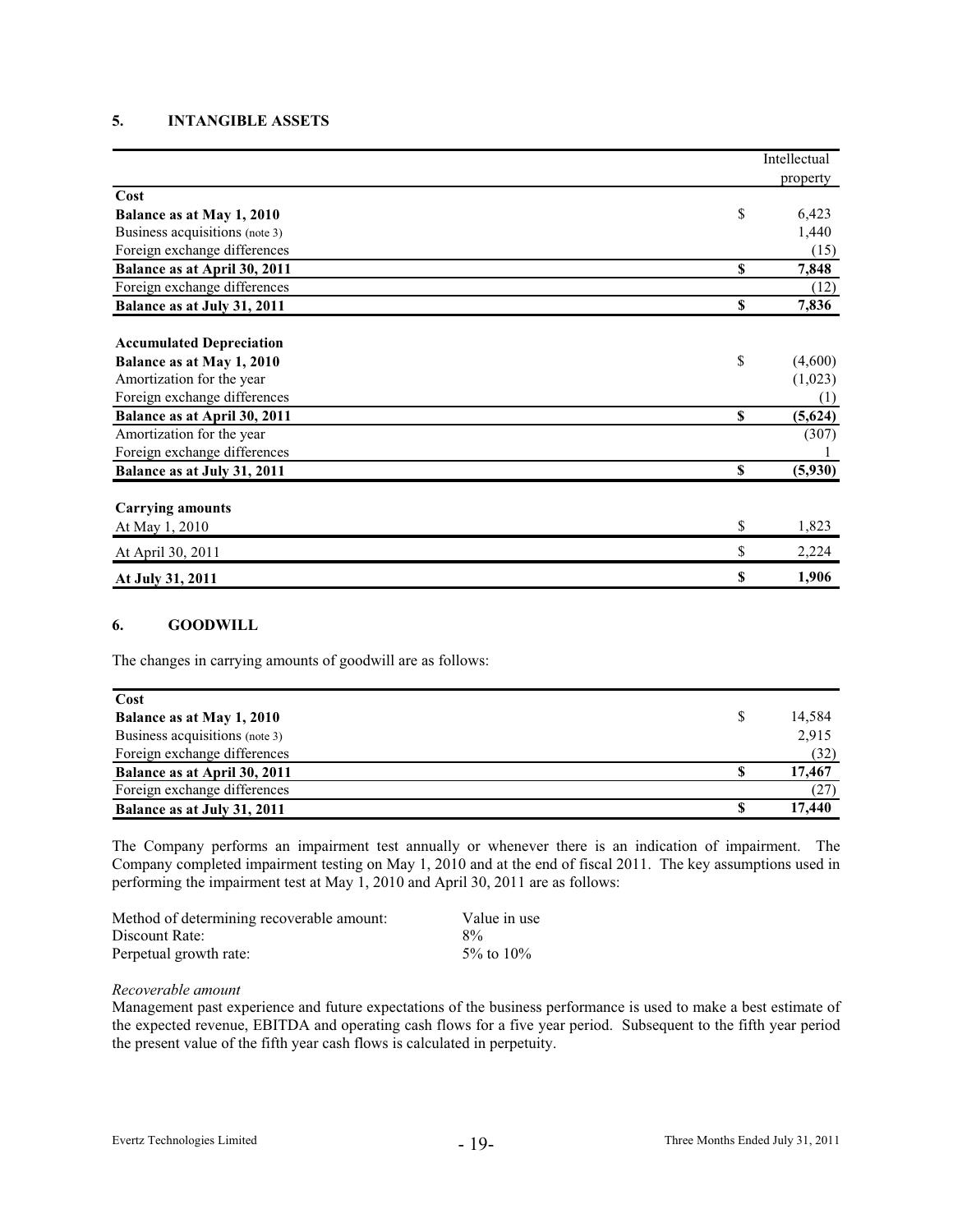# **5. INTANGIBLE ASSETS**

|                                 | Intellectual  |
|---------------------------------|---------------|
|                                 | property      |
| Cost                            |               |
| Balance as at May 1, 2010       | \$<br>6,423   |
| Business acquisitions (note 3)  | 1,440         |
| Foreign exchange differences    | (15)          |
| Balance as at April 30, 2011    | \$<br>7,848   |
| Foreign exchange differences    | (12)          |
| Balance as at July 31, 2011     | \$<br>7,836   |
| <b>Accumulated Depreciation</b> |               |
| Balance as at May 1, 2010       | \$<br>(4,600) |
| Amortization for the year       | (1,023)       |
| Foreign exchange differences    | (1)           |
| Balance as at April 30, 2011    | \$<br>(5,624) |
| Amortization for the year       | (307)         |
| Foreign exchange differences    |               |
| Balance as at July 31, 2011     | \$<br>(5,930) |
| <b>Carrying amounts</b>         |               |
| At May 1, 2010                  | \$<br>1,823   |
| At April 30, 2011               | \$<br>2,224   |
| At July 31, 2011                | \$<br>1,906   |

### **6. GOODWILL**

The changes in carrying amounts of goodwill are as follows:

| Cost                           |        |
|--------------------------------|--------|
| Balance as at May 1, 2010      | 14,584 |
| Business acquisitions (note 3) | 2,915  |
| Foreign exchange differences   | (32)   |
| Balance as at April 30, 2011   | 17,467 |
| Foreign exchange differences   | (27)   |
| Balance as at July 31, 2011    | 17.440 |

The Company performs an impairment test annually or whenever there is an indication of impairment. The Company completed impairment testing on May 1, 2010 and at the end of fiscal 2011. The key assumptions used in performing the impairment test at May 1, 2010 and April 30, 2011 are as follows:

| Method of determining recoverable amount: | Value in use |
|-------------------------------------------|--------------|
| Discount Rate:                            | $8\%$        |
| Perpetual growth rate:                    | 5\% to 10\%  |

#### *Recoverable amount*

Management past experience and future expectations of the business performance is used to make a best estimate of the expected revenue, EBITDA and operating cash flows for a five year period. Subsequent to the fifth year period the present value of the fifth year cash flows is calculated in perpetuity.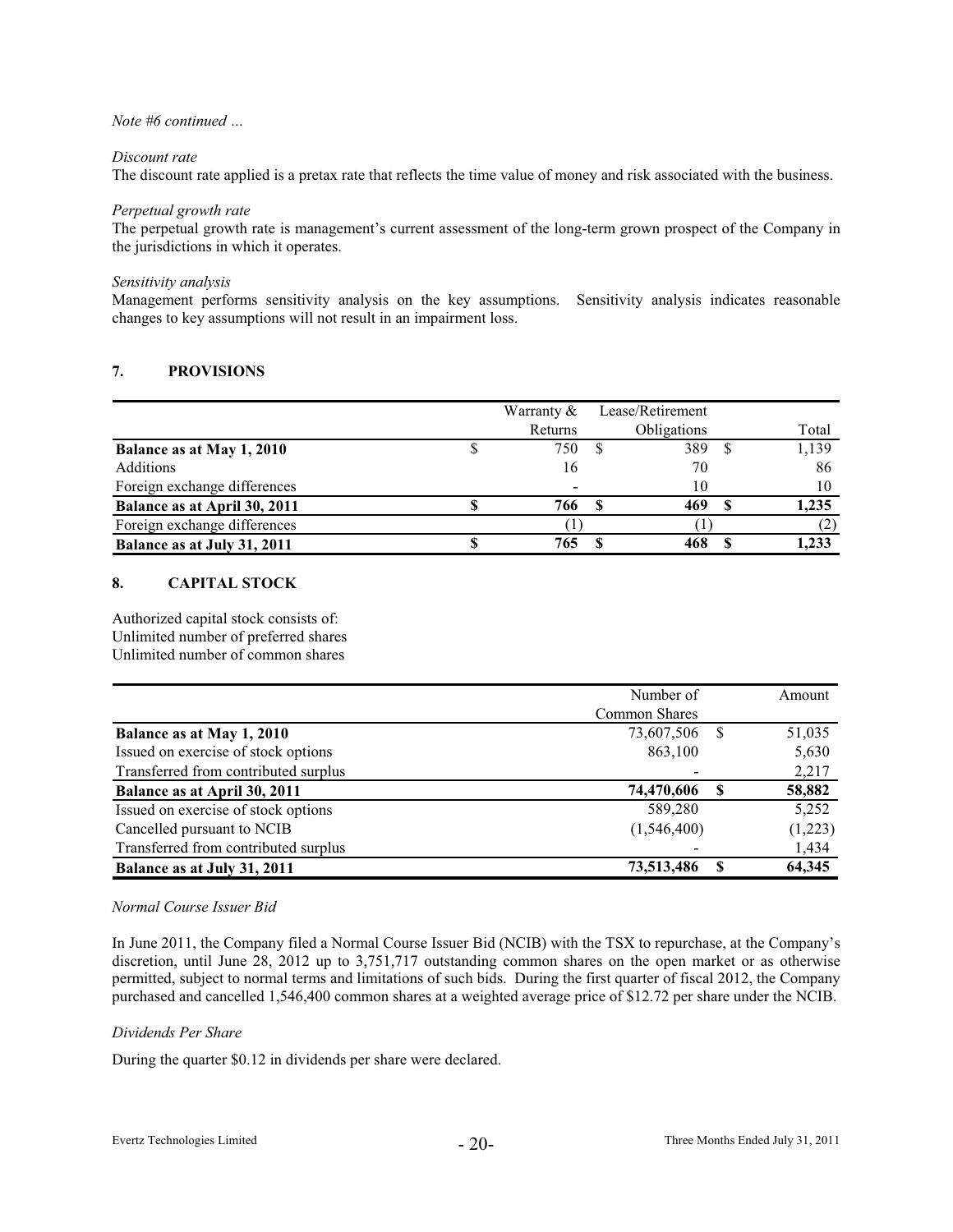#### *Discount rate*

The discount rate applied is a pretax rate that reflects the time value of money and risk associated with the business.

#### *Perpetual growth rate*

The perpetual growth rate is management's current assessment of the long-term grown prospect of the Company in the jurisdictions in which it operates.

#### *Sensitivity analysis*

Management performs sensitivity analysis on the key assumptions. Sensitivity analysis indicates reasonable changes to key assumptions will not result in an impairment loss.

# **7. PROVISIONS**

|                              | Warranty $&$ | Lease/Retirement |       |
|------------------------------|--------------|------------------|-------|
|                              | Returns      | Obligations      | Total |
| Balance as at May 1, 2010    | 750          | 389              | 1,139 |
| <b>Additions</b>             | 16           | 70               | 86    |
| Foreign exchange differences | -            | 10               | 10    |
| Balance as at April 30, 2011 | 766          | 469              | 1,235 |
| Foreign exchange differences |              |                  |       |
| Balance as at July 31, 2011  | 765          |                  | 1,233 |

# **8. CAPITAL STOCK**

Authorized capital stock consists of: Unlimited number of preferred shares Unlimited number of common shares

|                                      | Number of     |    | Amount  |
|--------------------------------------|---------------|----|---------|
|                                      | Common Shares |    |         |
| Balance as at May 1, 2010            | 73,607,506    | -S | 51,035  |
| Issued on exercise of stock options  | 863,100       |    | 5,630   |
| Transferred from contributed surplus |               |    | 2,217   |
| Balance as at April 30, 2011         | 74,470,606    | S  | 58,882  |
| Issued on exercise of stock options  | 589,280       |    | 5,252   |
| Cancelled pursuant to NCIB           | (1,546,400)   |    | (1,223) |
| Transferred from contributed surplus |               |    | 1,434   |
| Balance as at July 31, 2011          | 73,513,486    |    | 64,345  |

# *Normal Course Issuer Bid*

In June 2011, the Company filed a Normal Course Issuer Bid (NCIB) with the TSX to repurchase, at the Company's discretion, until June 28, 2012 up to 3,751,717 outstanding common shares on the open market or as otherwise permitted, subject to normal terms and limitations of such bids. During the first quarter of fiscal 2012, the Company purchased and cancelled 1,546,400 common shares at a weighted average price of \$12.72 per share under the NCIB.

#### *Dividends Per Share*

During the quarter \$0.12 in dividends per share were declared.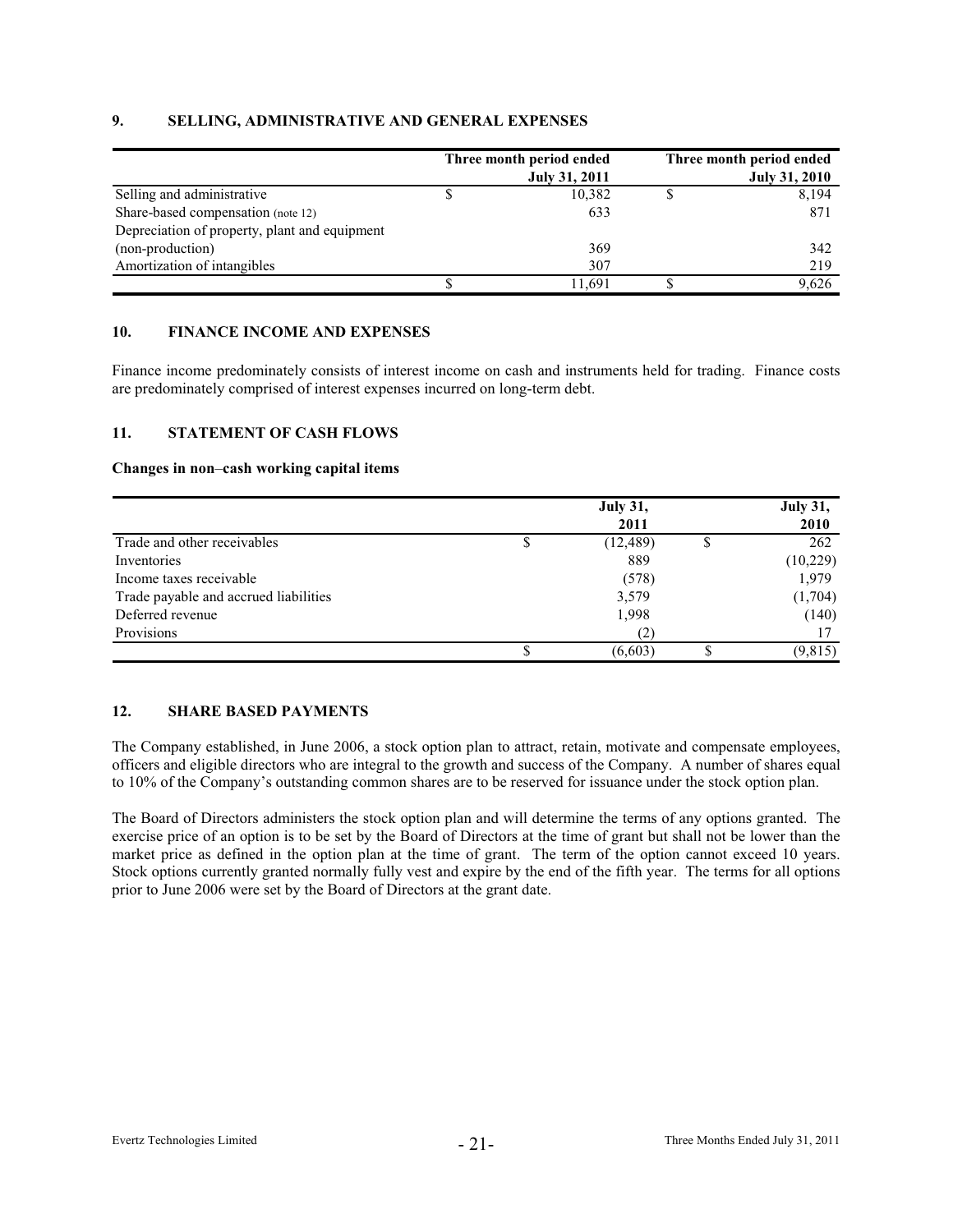# **9. SELLING, ADMINISTRATIVE AND GENERAL EXPENSES**

|                                               | Three month period ended | Three month period ended |
|-----------------------------------------------|--------------------------|--------------------------|
|                                               | <b>July 31, 2011</b>     | <b>July 31, 2010</b>     |
| Selling and administrative                    | 10,382                   | 8,194                    |
| Share-based compensation (note 12)            | 633                      | 871                      |
| Depreciation of property, plant and equipment |                          |                          |
| (non-production)                              | 369                      | 342                      |
| Amortization of intangibles                   | 307                      | 219                      |
|                                               | 1.691                    | 9,626                    |

# **10. FINANCE INCOME AND EXPENSES**

Finance income predominately consists of interest income on cash and instruments held for trading. Finance costs are predominately comprised of interest expenses incurred on long-term debt.

### **11. STATEMENT OF CASH FLOWS**

#### **Changes in non**–**cash working capital items**

|                                       | <b>July 31,</b> |  |             |  |  |
|---------------------------------------|-----------------|--|-------------|--|--|
|                                       | 2011            |  | <b>2010</b> |  |  |
| Trade and other receivables           | (12, 489)       |  | 262         |  |  |
| Inventories                           | 889             |  | (10,229)    |  |  |
| Income taxes receivable               | (578)           |  | 1,979       |  |  |
| Trade payable and accrued liabilities | 3,579           |  | (1,704)     |  |  |
| Deferred revenue                      | 1,998           |  | (140)       |  |  |
| Provisions                            | (2)             |  |             |  |  |
|                                       | (6,603)         |  | (9, 815)    |  |  |

# **12. SHARE BASED PAYMENTS**

The Company established, in June 2006, a stock option plan to attract, retain, motivate and compensate employees, officers and eligible directors who are integral to the growth and success of the Company. A number of shares equal to 10% of the Company's outstanding common shares are to be reserved for issuance under the stock option plan.

The Board of Directors administers the stock option plan and will determine the terms of any options granted. The exercise price of an option is to be set by the Board of Directors at the time of grant but shall not be lower than the market price as defined in the option plan at the time of grant. The term of the option cannot exceed 10 years. Stock options currently granted normally fully vest and expire by the end of the fifth year. The terms for all options prior to June 2006 were set by the Board of Directors at the grant date.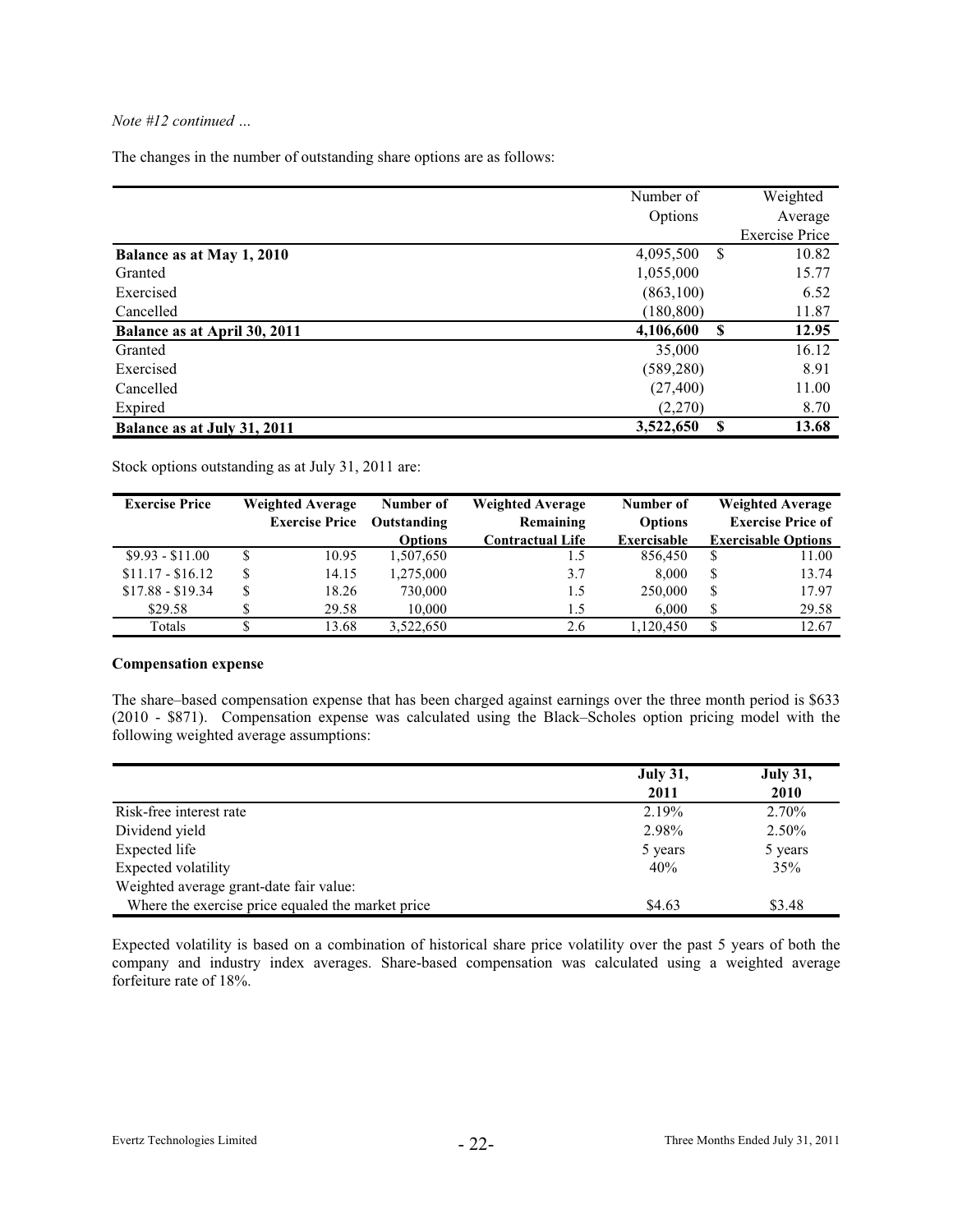The changes in the number of outstanding share options are as follows:

|                              | Number of  |   | Weighted              |
|------------------------------|------------|---|-----------------------|
|                              | Options    |   | Average               |
|                              |            |   | <b>Exercise Price</b> |
| Balance as at May 1, 2010    | 4,095,500  | S | 10.82                 |
| Granted                      | 1,055,000  |   | 15.77                 |
| Exercised                    | (863,100)  |   | 6.52                  |
| Cancelled                    | (180, 800) |   | 11.87                 |
| Balance as at April 30, 2011 | 4,106,600  | S | 12.95                 |
| Granted                      | 35,000     |   | 16.12                 |
| Exercised                    | (589, 280) |   | 8.91                  |
| Cancelled                    | (27, 400)  |   | 11.00                 |
| Expired                      | (2,270)    |   | 8.70                  |
| Balance as at July 31, 2011  | 3,522,650  | S | 13.68                 |

Stock options outstanding as at July 31, 2011 are:

| <b>Exercise Price</b> |   | <b>Weighted Average</b> | Number of      | <b>Weighted Average</b> | Number of      |    | <b>Weighted Average</b>    |
|-----------------------|---|-------------------------|----------------|-------------------------|----------------|----|----------------------------|
|                       |   | <b>Exercise Price</b>   | Outstanding    | Remaining               | <b>Options</b> |    | <b>Exercise Price of</b>   |
|                       |   |                         | <b>Options</b> | <b>Contractual Life</b> | Exercisable    |    | <b>Exercisable Options</b> |
| $$9.93 - $11.00$      |   | 10.95                   | 1,507,650      |                         | 856,450        | S  | 11.00                      |
| $$11.17 - $16.12$     | S | 14.15                   | 1,275,000      | 3.7                     | 8.000          | \$ | 13.74                      |
| $$17.88 - $19.34$     |   | 18.26                   | 730,000        | 1.5                     | 250,000        | \$ | 17.97                      |
| \$29.58               |   | 29.58                   | 10,000         | 1.5                     | 6.000          | \$ | 29.58                      |
| Totals                |   | 13.68                   | 3.522.650      | 2.6                     | 1.120.450      | \$ | 12.67                      |

#### **Compensation expense**

The share–based compensation expense that has been charged against earnings over the three month period is \$633 (2010 - \$871). Compensation expense was calculated using the Black–Scholes option pricing model with the following weighted average assumptions:

|                                                   | <b>July 31,</b><br>2011 | <b>July 31,</b><br>2010 |
|---------------------------------------------------|-------------------------|-------------------------|
| Risk-free interest rate                           | 2.19%                   | 2.70%                   |
| Dividend yield                                    | 2.98%                   | 2.50%                   |
| Expected life                                     | 5 years                 | 5 years                 |
| Expected volatility                               | 40%                     | 35%                     |
| Weighted average grant-date fair value:           |                         |                         |
| Where the exercise price equaled the market price | \$4.63                  | \$3.48                  |

Expected volatility is based on a combination of historical share price volatility over the past 5 years of both the company and industry index averages. Share-based compensation was calculated using a weighted average forfeiture rate of 18%.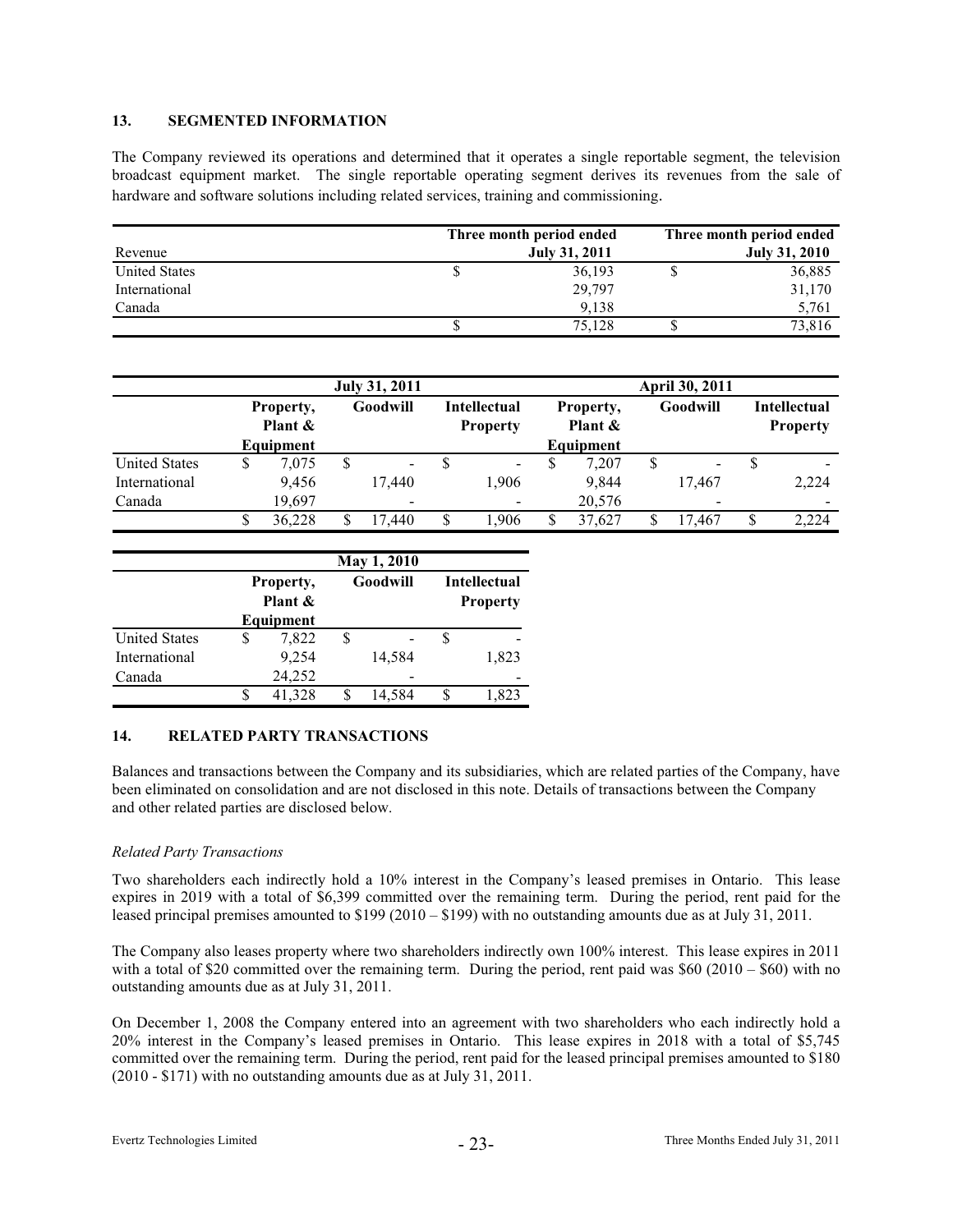# **13. SEGMENTED INFORMATION**

The Company reviewed its operations and determined that it operates a single reportable segment, the television broadcast equipment market. The single reportable operating segment derives its revenues from the sale of hardware and software solutions including related services, training and commissioning.

|                      | Three month period ended |  |                      |  |
|----------------------|--------------------------|--|----------------------|--|
| Revenue              | <b>July 31, 2011</b>     |  | <b>July 31, 2010</b> |  |
| <b>United States</b> | 36,193                   |  | 36,885               |  |
| International        | 29.797                   |  | 31,170               |  |
| Canada               | 9.138                    |  | 5,761                |  |
|                      | 75.128                   |  | 73,816               |  |

|                      |                      |           | <b>July 31, 2011</b> |                          | April 30, 2011 |                |  |                                        |                      |                          |          |                          |                                        |  |
|----------------------|----------------------|-----------|----------------------|--------------------------|----------------|----------------|--|----------------------------------------|----------------------|--------------------------|----------|--------------------------|----------------------------------------|--|
|                      | Property,<br>Plant & |           |                      |                          |                | Goodwill       |  | <b>Intellectual</b><br><b>Property</b> | Property,<br>Plant & |                          | Goodwill |                          | <b>Intellectual</b><br><b>Property</b> |  |
|                      |                      | Equipment |                      |                          |                |                |  | Equipment                              |                      |                          |          |                          |                                        |  |
| <b>United States</b> | S                    | 7.075     | S                    | $\blacksquare$           | S              | $\blacksquare$ |  | 7.207                                  | S                    | $\overline{\phantom{a}}$ | S        |                          |                                        |  |
| International        |                      | 9.456     |                      | 17.440                   |                | 1.906          |  | 9.844                                  |                      | 17.467                   |          | 2,224                    |                                        |  |
| Canada               |                      | 19,697    |                      | $\overline{\phantom{a}}$ |                |                |  | 20,576                                 |                      | $\overline{\phantom{a}}$ |          | $\overline{\phantom{a}}$ |                                        |  |
|                      |                      | 36,228    | S.                   | 17.440                   | \$             | 1.906          |  | 37.627                                 |                      | 17.467                   | \$       | 2,224                    |                                        |  |

|                      | May 1, 2010                       |        |  |          |                                        |       |  |
|----------------------|-----------------------------------|--------|--|----------|----------------------------------------|-------|--|
|                      | Property,<br>Plant &<br>Equipment |        |  | Goodwill | <b>Intellectual</b><br><b>Property</b> |       |  |
| <b>United States</b> |                                   | 7,822  |  |          |                                        |       |  |
| International        |                                   | 9.254  |  | 14.584   |                                        | 1,823 |  |
| Canada               |                                   | 24,252 |  |          |                                        |       |  |
|                      |                                   | 41.328 |  | 14.584   |                                        | 1.823 |  |

# **14. RELATED PARTY TRANSACTIONS**

Balances and transactions between the Company and its subsidiaries, which are related parties of the Company, have been eliminated on consolidation and are not disclosed in this note. Details of transactions between the Company and other related parties are disclosed below.

# *Related Party Transactions*

Two shareholders each indirectly hold a 10% interest in the Company's leased premises in Ontario. This lease expires in 2019 with a total of \$6,399 committed over the remaining term. During the period, rent paid for the leased principal premises amounted to \$199 (2010 – \$199) with no outstanding amounts due as at July 31, 2011.

The Company also leases property where two shareholders indirectly own 100% interest. This lease expires in 2011 with a total of \$20 committed over the remaining term. During the period, rent paid was \$60 (2010 – \$60) with no outstanding amounts due as at July 31, 2011.

On December 1, 2008 the Company entered into an agreement with two shareholders who each indirectly hold a 20% interest in the Company's leased premises in Ontario. This lease expires in 2018 with a total of \$5,745 committed over the remaining term. During the period, rent paid for the leased principal premises amounted to \$180 (2010 - \$171) with no outstanding amounts due as at July 31, 2011.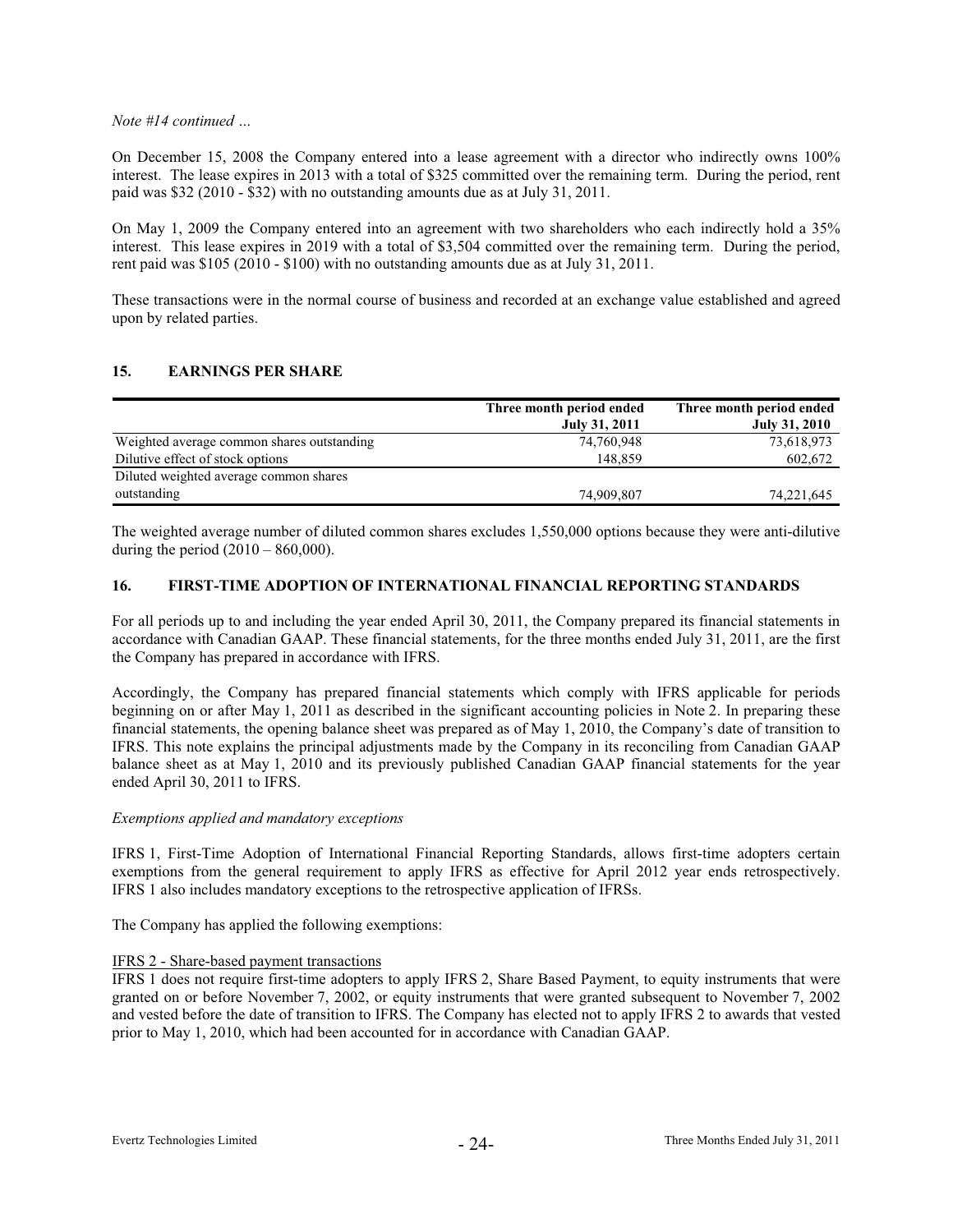On December 15, 2008 the Company entered into a lease agreement with a director who indirectly owns 100% interest. The lease expires in 2013 with a total of \$325 committed over the remaining term. During the period, rent paid was \$32 (2010 - \$32) with no outstanding amounts due as at July 31, 2011.

On May 1, 2009 the Company entered into an agreement with two shareholders who each indirectly hold a 35% interest. This lease expires in 2019 with a total of \$3,504 committed over the remaining term. During the period, rent paid was \$105 (2010 - \$100) with no outstanding amounts due as at July 31, 2011.

These transactions were in the normal course of business and recorded at an exchange value established and agreed upon by related parties.

# **15. EARNINGS PER SHARE**

|                                            | Three month period ended | Three month period ended |
|--------------------------------------------|--------------------------|--------------------------|
|                                            | <b>July 31, 2011</b>     | <b>July 31, 2010</b>     |
| Weighted average common shares outstanding | 74,760,948               | 73,618,973               |
| Dilutive effect of stock options           | 148,859                  | 602,672                  |
| Diluted weighted average common shares     |                          |                          |
| outstanding                                | 74,909,807               | 74,221,645               |

The weighted average number of diluted common shares excludes 1,550,000 options because they were anti-dilutive during the period  $(2010 - 860,000)$ .

# **16. FIRST-TIME ADOPTION OF INTERNATIONAL FINANCIAL REPORTING STANDARDS**

For all periods up to and including the year ended April 30, 2011, the Company prepared its financial statements in accordance with Canadian GAAP. These financial statements, for the three months ended July 31, 2011, are the first the Company has prepared in accordance with IFRS.

Accordingly, the Company has prepared financial statements which comply with IFRS applicable for periods beginning on or after May 1, 2011 as described in the significant accounting policies in Note 2. In preparing these financial statements, the opening balance sheet was prepared as of May 1, 2010, the Company's date of transition to IFRS. This note explains the principal adjustments made by the Company in its reconciling from Canadian GAAP balance sheet as at May 1, 2010 and its previously published Canadian GAAP financial statements for the year ended April 30, 2011 to IFRS.

# *Exemptions applied and mandatory exceptions*

IFRS 1, First-Time Adoption of International Financial Reporting Standards, allows first-time adopters certain exemptions from the general requirement to apply IFRS as effective for April 2012 year ends retrospectively. IFRS 1 also includes mandatory exceptions to the retrospective application of IFRSs.

The Company has applied the following exemptions:

# IFRS 2 - Share-based payment transactions

IFRS 1 does not require first-time adopters to apply IFRS 2, Share Based Payment, to equity instruments that were granted on or before November 7, 2002, or equity instruments that were granted subsequent to November 7, 2002 and vested before the date of transition to IFRS. The Company has elected not to apply IFRS 2 to awards that vested prior to May 1, 2010, which had been accounted for in accordance with Canadian GAAP.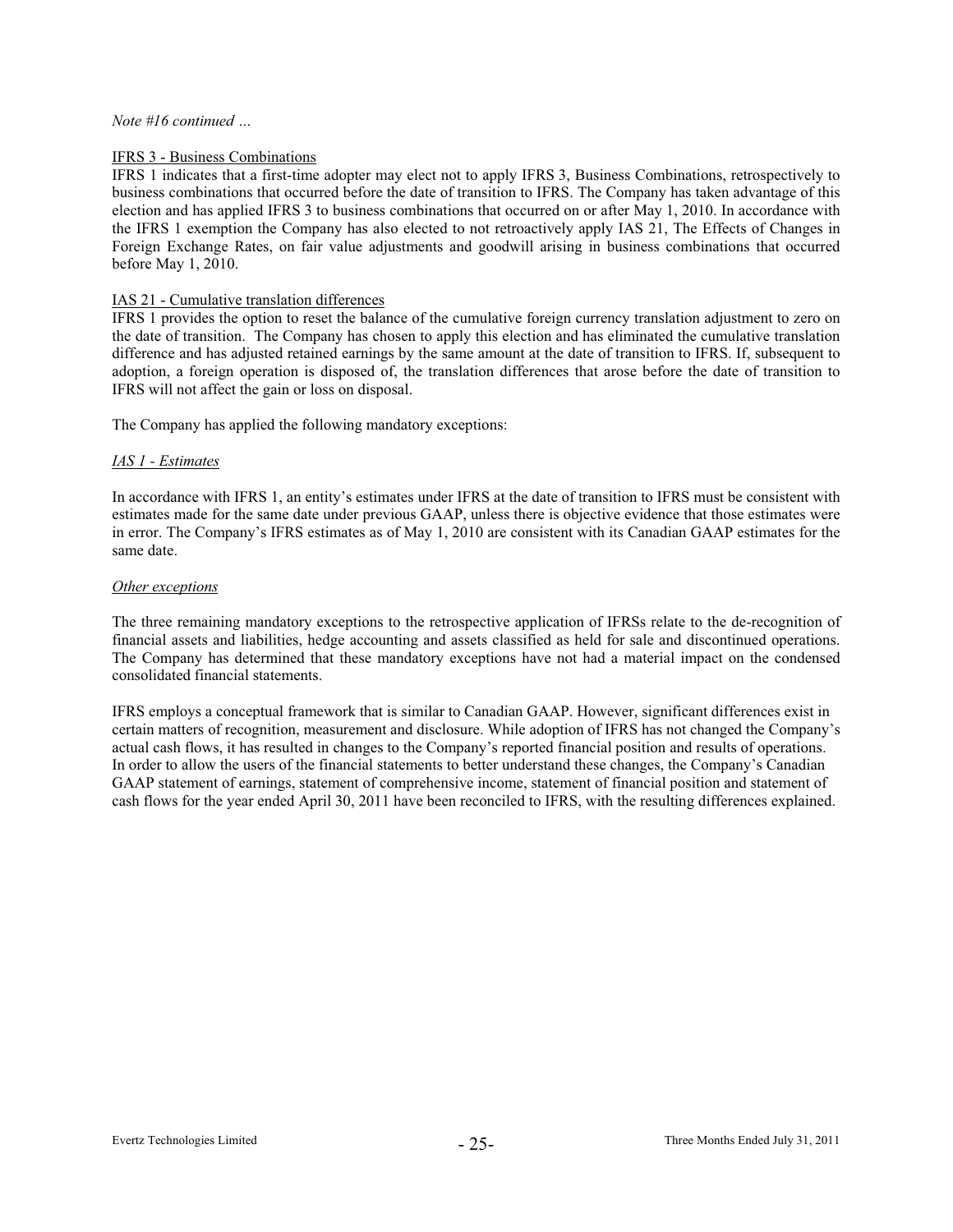### IFRS 3 - Business Combinations

IFRS 1 indicates that a first-time adopter may elect not to apply IFRS 3, Business Combinations, retrospectively to business combinations that occurred before the date of transition to IFRS. The Company has taken advantage of this election and has applied IFRS 3 to business combinations that occurred on or after May 1, 2010. In accordance with the IFRS 1 exemption the Company has also elected to not retroactively apply IAS 21, The Effects of Changes in Foreign Exchange Rates, on fair value adjustments and goodwill arising in business combinations that occurred before May 1, 2010.

#### IAS 21 - Cumulative translation differences

IFRS 1 provides the option to reset the balance of the cumulative foreign currency translation adjustment to zero on the date of transition. The Company has chosen to apply this election and has eliminated the cumulative translation difference and has adjusted retained earnings by the same amount at the date of transition to IFRS. If, subsequent to adoption, a foreign operation is disposed of, the translation differences that arose before the date of transition to IFRS will not affect the gain or loss on disposal.

The Company has applied the following mandatory exceptions:

#### *IAS 1 - Estimates*

In accordance with IFRS 1, an entity's estimates under IFRS at the date of transition to IFRS must be consistent with estimates made for the same date under previous GAAP, unless there is objective evidence that those estimates were in error. The Company's IFRS estimates as of May 1, 2010 are consistent with its Canadian GAAP estimates for the same date.

#### *Other exceptions*

The three remaining mandatory exceptions to the retrospective application of IFRSs relate to the de-recognition of financial assets and liabilities, hedge accounting and assets classified as held for sale and discontinued operations. The Company has determined that these mandatory exceptions have not had a material impact on the condensed consolidated financial statements.

IFRS employs a conceptual framework that is similar to Canadian GAAP. However, significant differences exist in certain matters of recognition, measurement and disclosure. While adoption of IFRS has not changed the Company's actual cash flows, it has resulted in changes to the Company's reported financial position and results of operations. In order to allow the users of the financial statements to better understand these changes, the Company's Canadian GAAP statement of earnings, statement of comprehensive income, statement of financial position and statement of cash flows for the year ended April 30, 2011 have been reconciled to IFRS, with the resulting differences explained.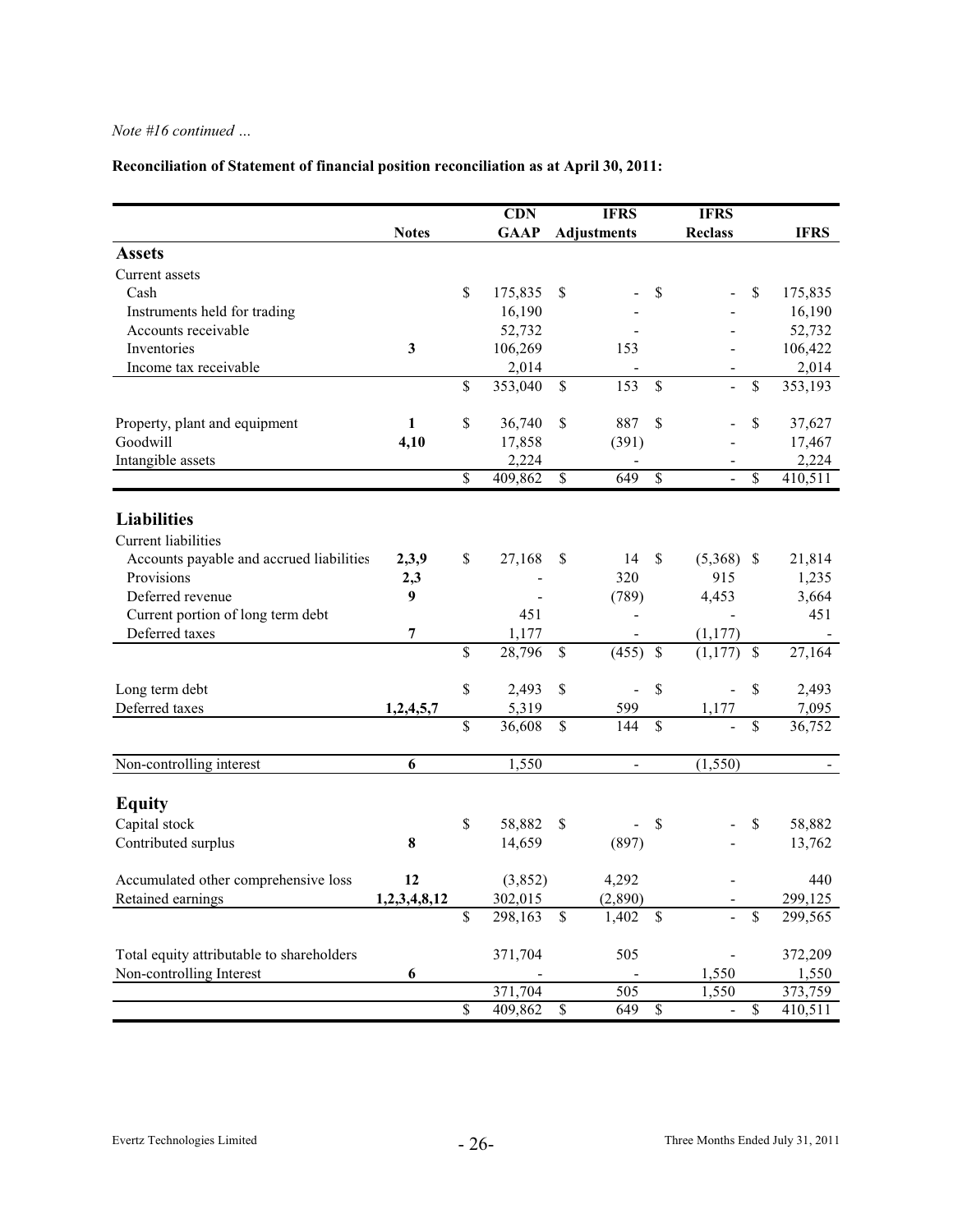# **Reconciliation of Statement of financial position reconciliation as at April 30, 2011:**

|                                           |              |                          | <b>CDN</b>         |                          | <b>IFRS</b>                         | <b>IFRS</b>                                                   |                           |                    |
|-------------------------------------------|--------------|--------------------------|--------------------|--------------------------|-------------------------------------|---------------------------------------------------------------|---------------------------|--------------------|
|                                           | <b>Notes</b> |                          | <b>GAAP</b>        |                          | <b>Adjustments</b>                  | <b>Reclass</b>                                                |                           | <b>IFRS</b>        |
| <b>Assets</b>                             |              |                          |                    |                          |                                     |                                                               |                           |                    |
| Current assets                            |              |                          |                    |                          |                                     |                                                               |                           |                    |
| Cash                                      |              | \$                       | 175,835            | \$                       |                                     | \$                                                            | \$                        | 175,835            |
| Instruments held for trading              |              |                          | 16,190             |                          |                                     |                                                               |                           | 16,190             |
| Accounts receivable                       |              |                          | 52,732             |                          |                                     |                                                               |                           | 52,732             |
| Inventories                               | 3            |                          | 106,269            |                          | 153                                 |                                                               |                           | 106,422            |
| Income tax receivable                     |              |                          | 2,014              |                          |                                     |                                                               |                           | 2,014              |
|                                           |              | \$                       | 353,040            | \$                       | 153                                 | \$<br>$\overline{a}$                                          | \$                        | 353,193            |
| Property, plant and equipment             | $\mathbf{1}$ | \$                       | 36,740             | \$                       | 887                                 | \$                                                            | \$                        | 37,627             |
| Goodwill                                  | 4,10         |                          | 17,858             |                          | (391)                               |                                                               |                           | 17,467             |
| Intangible assets                         |              |                          | 2,224              |                          |                                     |                                                               |                           | 2,224              |
|                                           |              | \$                       | 409,862            | $\overline{\mathcal{S}}$ | 649                                 | \$                                                            | \$                        | 410,511            |
| <b>Liabilities</b>                        |              |                          |                    |                          |                                     |                                                               |                           |                    |
| <b>Current liabilities</b>                |              |                          |                    |                          |                                     |                                                               |                           |                    |
| Accounts payable and accrued liabilities  | 2,3,9        | \$                       | 27,168             | \$                       | 14                                  | \$<br>$(5,368)$ \$                                            |                           | 21,814             |
| Provisions                                | 2,3          |                          |                    |                          | 320                                 | 915                                                           |                           | 1,235              |
| Deferred revenue                          | 9            |                          |                    |                          | (789)                               | 4,453                                                         |                           | 3,664              |
| Current portion of long term debt         |              |                          | 451                |                          |                                     | $\overline{a}$                                                |                           | 451                |
| Deferred taxes                            | 7            |                          | 1,177              |                          |                                     | (1, 177)                                                      |                           |                    |
|                                           |              | \$                       | 28,796             | \$                       | (455)<br>\$                         | (1, 177)                                                      | $\boldsymbol{\mathsf{S}}$ | 27,164             |
| Long term debt                            |              | \$                       | 2,493              | \$                       |                                     | \$<br>$\overline{\phantom{0}}$                                | \$                        | 2,493              |
| Deferred taxes                            | 1,2,4,5,7    |                          | 5,319              |                          | $\qquad \qquad \blacksquare$<br>599 | 1,177                                                         |                           | 7,095              |
|                                           |              | \$                       | 36,608             | \$                       | 144                                 | \$<br>$\overline{\phantom{0}}$                                | \$                        | 36,752             |
|                                           |              |                          |                    |                          |                                     |                                                               |                           |                    |
| Non-controlling interest                  | 6            |                          | 1,550              |                          | $\blacksquare$                      | (1, 550)                                                      |                           |                    |
| <b>Equity</b>                             |              |                          |                    |                          |                                     |                                                               |                           |                    |
| Capital stock                             |              | \$                       | 58,882             | \$                       |                                     | \$                                                            | \$                        | 58,882             |
| Contributed surplus                       | 8            |                          | 14,659             |                          | (897)                               |                                                               |                           | 13,762             |
|                                           |              |                          |                    |                          |                                     |                                                               |                           |                    |
| Accumulated other comprehensive loss      | 12           |                          | (3,852)            |                          | 4,292                               |                                                               |                           | 440                |
| Retained earnings                         | 1,2,3,4,8,12 |                          | 302,015            |                          | (2,890)                             |                                                               |                           | 299,125            |
|                                           |              | \$                       | 298,163            | ${\mathbb S}$            | 1,402                               | \$                                                            | \$                        | 299,565            |
|                                           |              |                          |                    |                          |                                     |                                                               |                           |                    |
| Total equity attributable to shareholders |              |                          | 371,704            |                          | 505                                 |                                                               |                           | 372,209            |
| Non-controlling Interest                  | 6            |                          |                    |                          | 505                                 | 1,550                                                         |                           | 1,550              |
|                                           |              | $\overline{\mathcal{S}}$ | 371,704<br>409,862 | $\mathbb S$              | 649                                 | 1,550<br>$\overline{\mathcal{S}}$<br>$\overline{\phantom{0}}$ | $\mathbb{S}$              | 373,759<br>410,511 |
|                                           |              |                          |                    |                          |                                     |                                                               |                           |                    |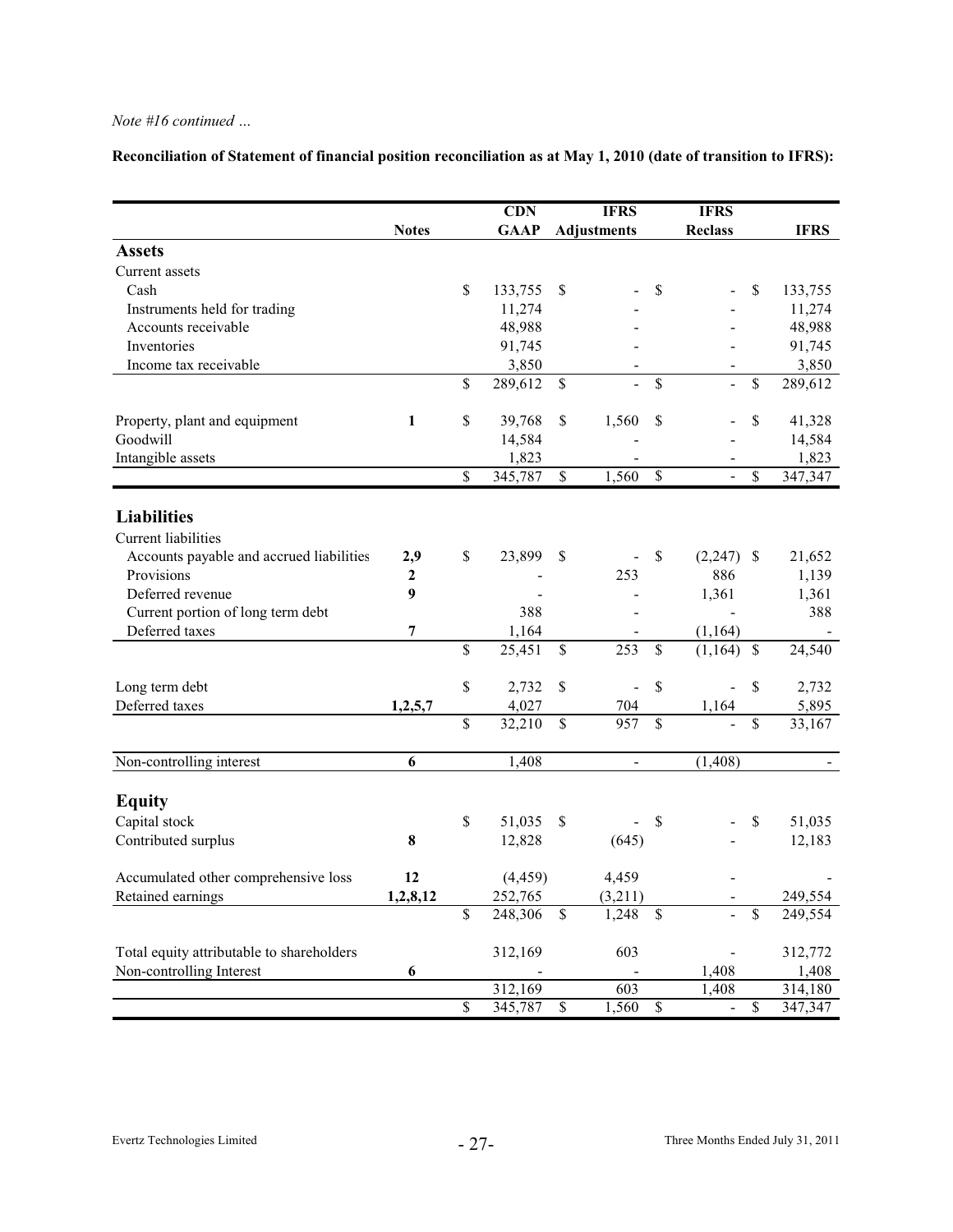**Reconciliation of Statement of financial position reconciliation as at May 1, 2010 (date of transition to IFRS):**

|                                           |                  | CDN           |                          | <b>IFRS</b>        |                          | <b>IFRS</b>    |                          |                      |
|-------------------------------------------|------------------|---------------|--------------------------|--------------------|--------------------------|----------------|--------------------------|----------------------|
|                                           | <b>Notes</b>     | <b>GAAP</b>   |                          | <b>Adjustments</b> |                          | <b>Reclass</b> |                          | <b>IFRS</b>          |
| <b>Assets</b>                             |                  |               |                          |                    |                          |                |                          |                      |
| Current assets                            |                  |               |                          |                    |                          |                |                          |                      |
| Cash                                      |                  | \$<br>133,755 | \$                       |                    | \$                       |                | <sup>\$</sup>            | 133,755              |
| Instruments held for trading              |                  | 11,274        |                          |                    |                          |                |                          | 11,274               |
| Accounts receivable                       |                  | 48,988        |                          |                    |                          |                |                          | 48,988               |
| Inventories                               |                  | 91,745        |                          |                    |                          |                |                          | 91,745               |
| Income tax receivable                     |                  | 3,850         |                          |                    |                          |                |                          | 3,850                |
|                                           |                  | \$<br>289,612 | \$                       | $\overline{a}$     | \$                       | $\overline{a}$ | \$                       | 289,612              |
| Property, plant and equipment             | $\mathbf{1}$     | \$<br>39,768  | \$                       | 1,560              | \$                       |                | \$                       | 41,328               |
| Goodwill                                  |                  | 14,584        |                          |                    |                          |                |                          | 14,584               |
| Intangible assets                         |                  | 1,823         |                          |                    |                          |                |                          | 1,823                |
|                                           |                  | \$<br>345,787 | $\overline{\mathcal{S}}$ | 1,560              | $\overline{\mathcal{S}}$ | $\overline{a}$ | $\overline{\mathcal{S}}$ | 347,347              |
|                                           |                  |               |                          |                    |                          |                |                          |                      |
| <b>Liabilities</b>                        |                  |               |                          |                    |                          |                |                          |                      |
| <b>Current liabilities</b>                |                  |               |                          |                    |                          |                |                          |                      |
| Accounts payable and accrued liabilities  | 2,9              | \$<br>23,899  | \$                       |                    | \$                       | $(2,247)$ \$   |                          | 21,652               |
| Provisions                                | 2                |               |                          | 253                |                          | 886            |                          | 1,139                |
| Deferred revenue                          | $\boldsymbol{9}$ |               |                          |                    |                          | 1,361          |                          | 1,361                |
| Current portion of long term debt         |                  | 388           |                          |                    |                          |                |                          | 388                  |
| Deferred taxes                            | 7                | 1,164         |                          |                    |                          | (1, 164)       |                          |                      |
|                                           |                  | \$<br>25,451  | \$                       | 253                | \$                       | $(1,164)$ \$   |                          | 24,540               |
| Long term debt                            |                  | \$<br>2,732   | \$                       | $\blacksquare$     | \$                       | $\overline{a}$ | \$                       | 2,732                |
| Deferred taxes                            | 1,2,5,7          | 4,027         |                          | 704                |                          | 1,164          |                          | 5,895                |
|                                           |                  | \$<br>32,210  | \$                       | 957                | \$                       |                | \$                       | 33,167               |
| Non-controlling interest                  | 6                | 1,408         |                          | $\blacksquare$     |                          | (1, 408)       |                          |                      |
|                                           |                  |               |                          |                    |                          |                |                          |                      |
| <b>Equity</b>                             |                  |               |                          |                    |                          |                |                          |                      |
| Capital stock                             |                  | \$<br>51,035  | \$                       |                    | \$                       |                | \$                       | 51,035               |
| Contributed surplus                       | 8                | 12,828        |                          | (645)              |                          |                |                          | 12,183               |
| Accumulated other comprehensive loss      | 12               | (4, 459)      |                          | 4,459              |                          |                |                          |                      |
| Retained earnings                         | 1,2,8,12         | 252,765       |                          | (3,211)            |                          |                |                          | 249,554              |
|                                           |                  | \$<br>248,306 | $\overline{\mathcal{S}}$ | 1,248              | $\mathsf{\$}$            | L,             | \$                       | $\overline{249,}554$ |
|                                           |                  |               |                          |                    |                          |                |                          |                      |
| Total equity attributable to shareholders |                  | 312,169       |                          | 603                |                          |                |                          | 312,772              |
| Non-controlling Interest                  | 6                |               |                          |                    |                          | 1,408          |                          | 1,408                |
|                                           |                  | \$<br>312,169 |                          | 603                |                          | 1,408          | $\overline{\mathcal{S}}$ | 314,180              |
|                                           |                  | 345,787       | $\overline{\mathcal{S}}$ | 1,560              | $\overline{\mathcal{S}}$ | $\Box$         |                          | 347,347              |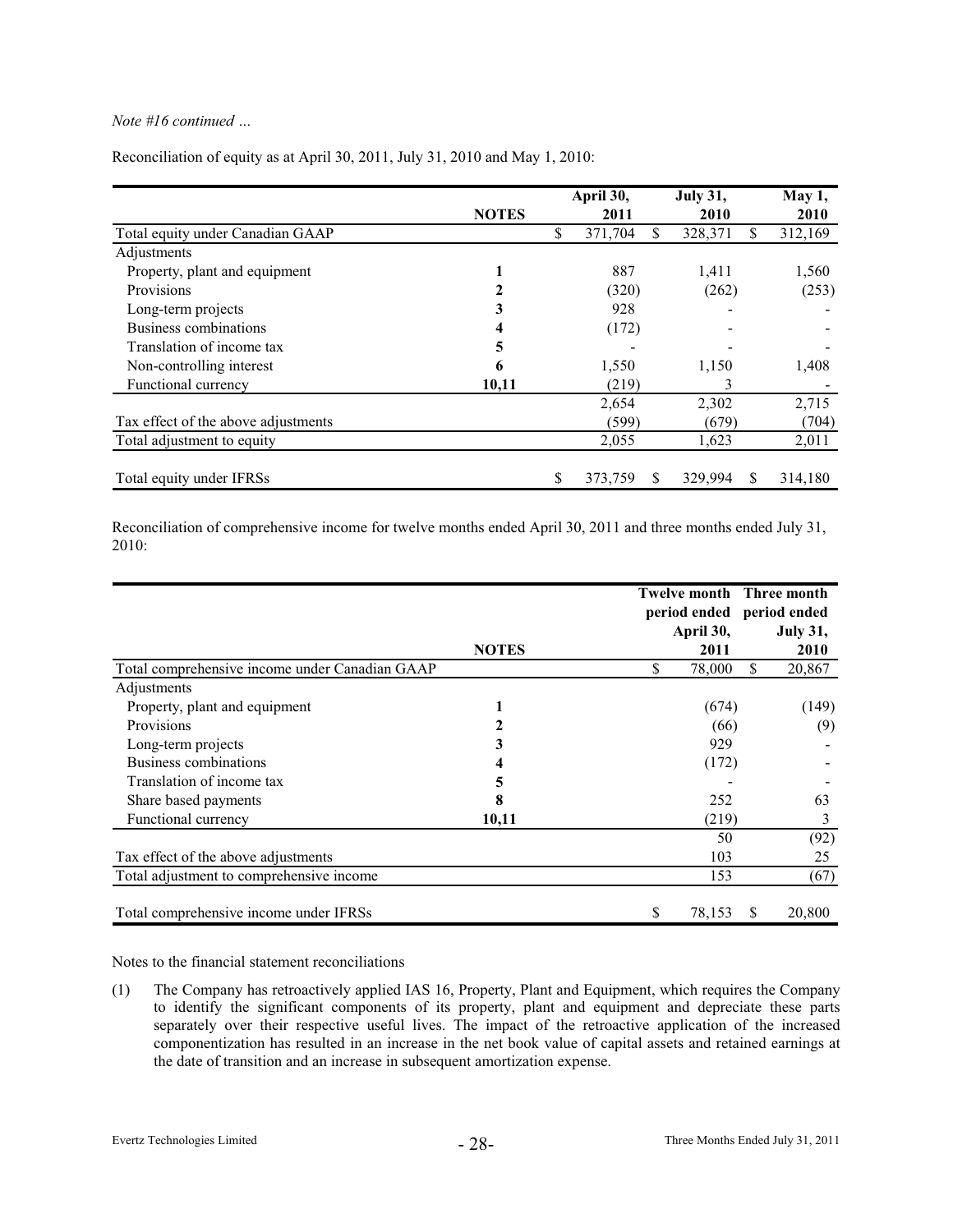|                                     |              | April 30,           | <b>July 31,</b> | May 1,  |
|-------------------------------------|--------------|---------------------|-----------------|---------|
|                                     | <b>NOTES</b> | 2011                | 2010            | 2010    |
| Total equity under Canadian GAAP    |              | \$<br>371,704<br>\$ | \$<br>328,371   | 312,169 |
| Adjustments                         |              |                     |                 |         |
| Property, plant and equipment       |              | 887                 | 1,411           | 1,560   |
| Provisions                          |              | (320)               | (262)           | (253)   |
| Long-term projects                  | 3            | 928                 |                 |         |
| Business combinations               |              | (172)               |                 |         |
| Translation of income tax           | 5            |                     |                 |         |
| Non-controlling interest            | 6            | 1,550               | 1,150           | 1,408   |
| Functional currency                 | 10,11        | (219)               | 3               |         |
|                                     |              | 2,654               | 2,302           | 2,715   |
| Tax effect of the above adjustments |              | (599)               | (679)           | (704)   |
| Total adjustment to equity          |              | 2,055               | 1,623           | 2,011   |
| Total equity under IFRSs            |              | \$<br>373,759<br>S  | 329,994<br>S.   | 314,180 |

Reconciliation of equity as at April 30, 2011, July 31, 2010 and May 1, 2010:

Reconciliation of comprehensive income for twelve months ended April 30, 2011 and three months ended July 31, 2010:

|                                                |              | <b>Twelve month</b> Three month |                 |
|------------------------------------------------|--------------|---------------------------------|-----------------|
|                                                |              | period ended period ended       |                 |
|                                                |              | April 30,                       | <b>July 31,</b> |
|                                                | <b>NOTES</b> | 2011                            | 2010            |
| Total comprehensive income under Canadian GAAP |              | \$<br>78,000                    | \$<br>20,867    |
| Adjustments                                    |              |                                 |                 |
| Property, plant and equipment                  |              | (674)                           | (149)           |
| Provisions                                     | 2            | (66)                            | (9)             |
| Long-term projects                             | 3            | 929                             |                 |
| Business combinations                          |              | (172)                           |                 |
| Translation of income tax                      | 5            |                                 |                 |
| Share based payments                           | 8            | 252                             | 63              |
| Functional currency                            | 10,11        | (219)                           | 3               |
|                                                |              | 50                              | (92)            |
| Tax effect of the above adjustments            |              | 103                             | 25              |
| Total adjustment to comprehensive income       |              | 153                             | (67)            |
| Total comprehensive income under IFRSs         |              | \$<br>78,153                    | 20,800<br>S     |

Notes to the financial statement reconciliations

(1) has retroactively applied IAS 16, Property, Plant and Equipment, which requires the Company The Company to identify the significant components of its property, plant and equipment and depreciate these parts separately over their respective useful lives. The impact of the retroactive application of the increased componentization has resulted in an increase in the net book value of capital assets and retained earnings at the date of transition and an increase in subsequent amortization expense.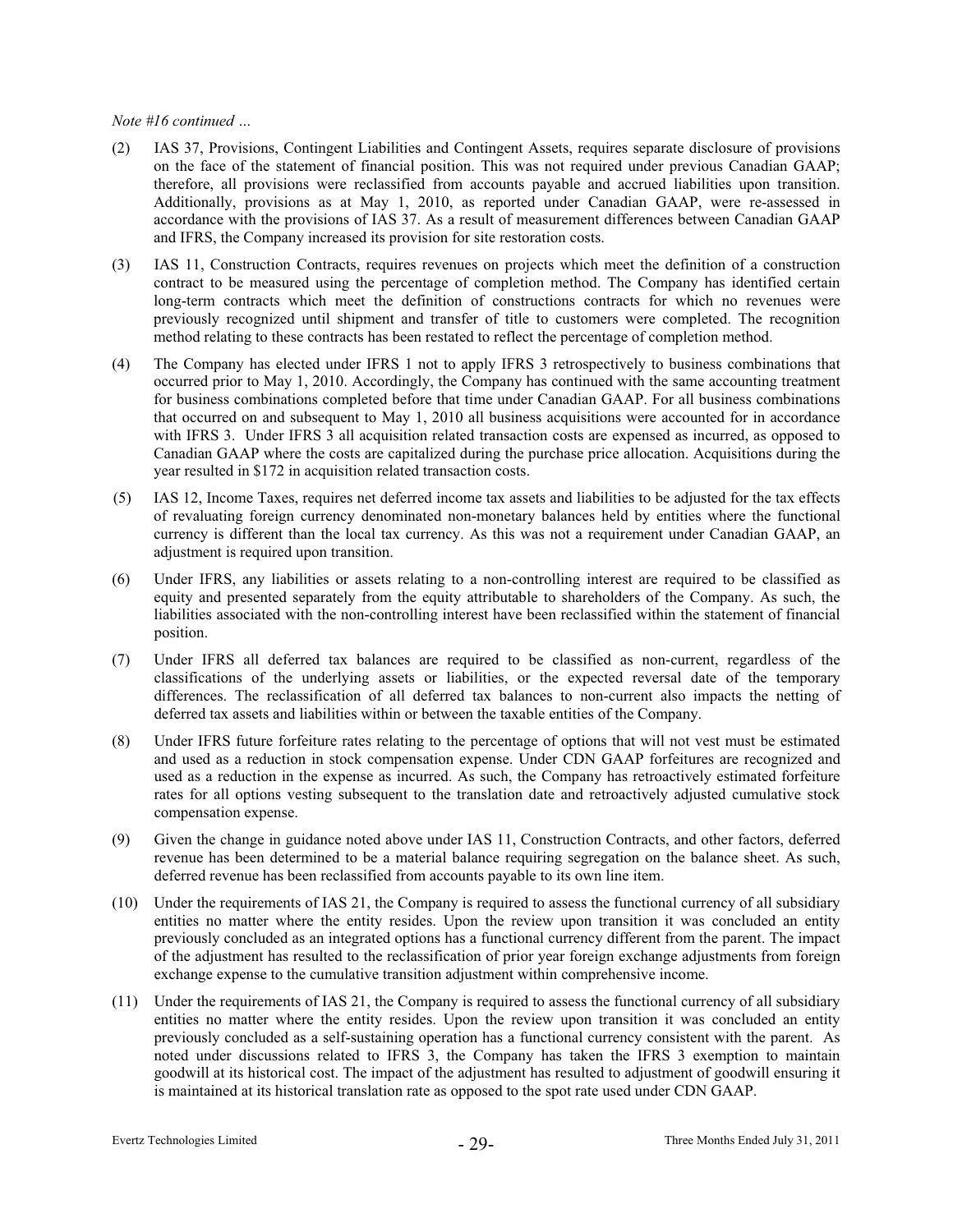- (2) IAS 37, Provisions, Contingent Liabilities and Contingent Assets, requires separate disclosure of provisions on the face of the statement of financial position. This was not required under previous Canadian GAAP; therefore, all provisions were reclassified from accounts payable and accrued liabilities upon transition. Additionally, provisions as at May 1, 2010, as reported under Canadian GAAP, were re-assessed in accordance with the provisions of IAS 37. As a result of measurement differences between Canadian GAAP and IFRS, the Company increased its provision for site restoration costs.
- (3) IAS 11, Construction Contracts, requires revenues on projects which meet the definition of a construction contract to be measured using the percentage of completion method. The Company has identified certain long-term con tracts which meet the definition of constructions contracts for which no revenues were previously rec ognized until shipment and transfer of title to customers were completed. The recognition method relatin g to these contracts has been restated to reflect the percentage of completion method.
- (4) The Company has elected under IFRS 1 not to apply IFRS 3 retrospectively to business combinations that occurred prior to May 1, 2010. Accordingly, the Company has continued with the same accounting treatment that occurred o n and subsequent to May 1, 2010 all business acquisitions were accounted for in accordance with IFRS 3. Under IFRS 3 all acquisition related transaction costs are expensed as incurred, as opposed to Canadian GAA P where the costs are capitalized during the purchase price allocation. Acquisitions during the year resulted in \$172 in acquisition related transaction costs. for business combinations completed before that time under Canadian GAAP. For all business combinations
- (5) IAS 12, Incom e Taxes, requires net deferred income tax assets and liabilities to be adjusted for the tax effects of revaluating foreign currency denominated non-monetary balances held by entities where the functional currency is different than the local tax currency. As this was not a requirement under Canadian GAAP, an adjustment is required upon transition.
- (6) Under IFRS, a ny liabilities or assets relating to a non-controlling interest are required to be classified as equity and pre sented separately from the equity attributable to shareholders of the Company. As such, the liabilities associated with the non-controlling interest have been reclassified within the statement of financial position.
- (7) differences. The reclassification of all deferred tax balances to non-current also impacts the netting of Under IFRS all deferred tax balances are required to be classified as non-current, regardless of the classifications of the underlying assets or liabilities, or the expected reversal date of the temporary deferred tax assets and liabilities within or between the taxable entities of the Company.
- (8) used as a reduction in the expense as incurred. As such, the Company has retroactively estimated forfeiture Under IFRS future forfeiture rates relating to the percentage of options that will not vest must be estimated and used as a reduction in stock compensation expense. Under CDN GAAP forfeitures are recognized and rates for all options vesting subsequent to the translation date and retroactively adjusted cumulative stock compensation expense.
- (9) deferred revenue has been reclassified from accounts payable to its own line item. Given the change in guidance noted above under IAS 11, Construction Contracts, and other factors, deferred revenue has been determined to be a material balance requiring segregation on the balance sheet. As such,
- previously concluded as an integrated options has a functional currency different from the parent. The impact (10) Under the requirements of IAS 21, the Company is required to assess the functional currency of all subsidiary entities no matter where the entity resides. Upon the review upon transition it was concluded an entity of the adjustment has resulted to the reclassification of prior year foreign exchange adjustments from foreign exchange expense to the cumulative transition adjustment within comprehensive income.
- (11) Under the requirements of IAS 21, the Company is required to assess the functional currency of all subsidiary previously concluded as a self-sustaining operation has a functional currency consistent with the parent. As entities no matter where the entity resides. Upon the review upon transition it was concluded an entity noted under discussions related to IFRS 3, the Company has taken the IFRS 3 exemption to maintain goodwill at its historical cost. The impact of the adjustment has resulted to adjustment of goodwill ensuring it is maintained at its historical translation rate as opposed to the spot rate used under CDN GAAP.